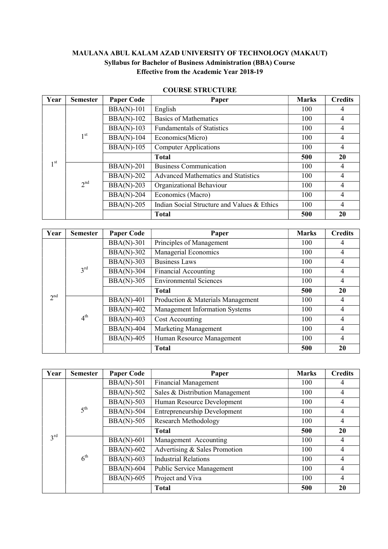# MAULANA ABUL KALAM AZAD UNIVERSITY OF TECHNOLOGY (MAKAUT) Syllabus for Bachelor of Business Administration (BBA) Course Effective from the Academic Year 2018-19

| Year         | <b>Semester</b> | <b>Paper Code</b> | Paper                                       | <b>Marks</b> | <b>Credits</b> |
|--------------|-----------------|-------------------|---------------------------------------------|--------------|----------------|
|              |                 | $BBA(N)-101$      | English                                     | 100          | 4              |
|              |                 | $BBA(N)-102$      | <b>Basics of Mathematics</b>                | 100          | 4              |
|              |                 | $BBA(N)-103$      | <b>Fundamentals of Statistics</b>           | 100          | $\overline{4}$ |
|              | 1 <sup>st</sup> | <b>BBA(N)-104</b> | Economics(Micro)                            | 100          | 4              |
|              |                 | <b>BBA(N)-105</b> | <b>Computer Applications</b>                | 100          | 4              |
|              |                 |                   | <b>Total</b>                                | 500          | <b>20</b>      |
| $1^{\rm st}$ | 2 <sup>nd</sup> | <b>BBA(N)-201</b> | <b>Business Communication</b>               | 100          | 4              |
|              |                 | <b>BBA(N)-202</b> | Advanced Mathematics and Statistics         | 100          | 4              |
|              |                 | <b>BBA(N)-203</b> | Organizational Behaviour                    | 100          | 4              |
|              |                 | <b>BBA(N)-204</b> | Economics (Macro)                           | 100          | 4              |
|              |                 | <b>BBA(N)-205</b> | Indian Social Structure and Values & Ethics | 100          | $\overline{4}$ |
|              |                 |                   | <b>Total</b>                                | 500          | 20             |

# COURSE STRUCTURE

| Year            | <b>Semester</b> | <b>Paper Code</b> | Paper                             | <b>Marks</b> | <b>Credits</b> |
|-----------------|-----------------|-------------------|-----------------------------------|--------------|----------------|
|                 | $3^{\text{rd}}$ | $BBA(N)-301$      | Principles of Management          | 100          | 4              |
|                 |                 | <b>BBA(N)-302</b> | Managerial Economics              | 100          | 4              |
|                 |                 | $BBA(N)-303$      | <b>Business Laws</b>              | 100          | $\overline{4}$ |
|                 |                 | <b>BBA(N)-304</b> | <b>Financial Accounting</b>       | 100          | 4              |
|                 |                 | $BBA(N)-305$      | <b>Environmental Sciences</b>     | 100          | $\overline{4}$ |
|                 |                 |                   | <b>Total</b>                      | 500          | 20             |
| 2 <sup>nd</sup> | 4 <sup>th</sup> | <b>BBA(N)-401</b> | Production & Materials Management | 100          | 4              |
|                 |                 | $BBA(N)-402$      | Management Information Systems    | 100          | $\overline{4}$ |
|                 |                 | $BBA(N)-403$      | Cost Accounting                   | 100          | $\overline{4}$ |
|                 |                 | <b>BBA(N)-404</b> | Marketing Management              | 100          | 4              |
|                 |                 | <b>BBA(N)-405</b> | Human Resource Management         | 100          | 4              |
|                 |                 |                   | <b>Total</b>                      | 500          | 20             |

| Year            | <b>Semester</b> | <b>Paper Code</b> | Paper                               | <b>Marks</b> | <b>Credits</b> |
|-----------------|-----------------|-------------------|-------------------------------------|--------------|----------------|
|                 | $5^{\text{th}}$ | $BBA(N)-501$      | <b>Financial Management</b>         | 100          | 4              |
|                 |                 | <b>BBA(N)-502</b> | Sales & Distribution Management     | 100          | $\overline{4}$ |
|                 |                 | $BBA(N)-503$      | Human Resource Development          | 100          | 4              |
|                 |                 | <b>BBA(N)-504</b> | <b>Entrepreneurship Development</b> | 100          | 4              |
|                 |                 | $BBA(N)-505$      | Research Methodology                | 100          | 4              |
|                 |                 |                   | <b>Total</b>                        | 500          | 20             |
| $3^{\text{rd}}$ | $6^{\text{th}}$ | <b>BBA(N)-601</b> | Management Accounting               | 100          | 4              |
|                 |                 | $BBA(N)-602$      | Advertising & Sales Promotion       | 100          | $\overline{4}$ |
|                 |                 | <b>BBA(N)-603</b> | <b>Industrial Relations</b>         | 100          | $\overline{4}$ |
|                 |                 | <b>BBA(N)-604</b> | Public Service Management           | 100          | 4              |
|                 |                 | <b>BBA(N)-605</b> | Project and Viva                    | 100          | 4              |
|                 |                 |                   | <b>Total</b>                        | 500          | 20             |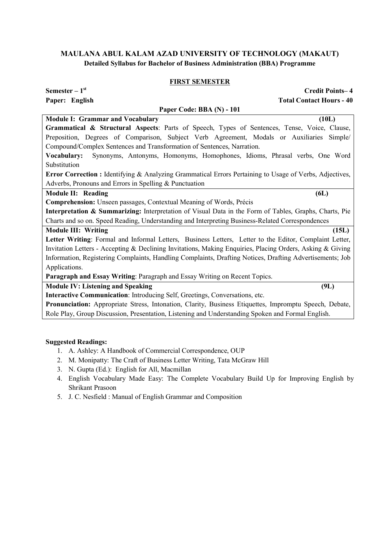#### FIRST SEMESTER

| Semester $-1$ <sup>st</sup><br><b>Credit Points-4</b>                                                     |
|-----------------------------------------------------------------------------------------------------------|
| <b>Total Contact Hours - 40</b><br>Paper: English                                                         |
| Paper Code: BBA (N) - 101                                                                                 |
| <b>Module I: Grammar and Vocabulary</b><br>(10L)                                                          |
| Grammatical & Structural Aspects: Parts of Speech, Types of Sentences, Tense, Voice, Clause,              |
| Preposition, Degrees of Comparison, Subject Verb Agreement, Modals or Auxiliaries Simple/                 |
| Compound/Complex Sentences and Transformation of Sentences, Narration.                                    |
| Synonyms, Antonyms, Homonyms, Homophones, Idioms, Phrasal verbs, One Word<br>Vocabulary:                  |
| Substitution                                                                                              |
| Error Correction: Identifying & Analyzing Grammatical Errors Pertaining to Usage of Verbs, Adjectives,    |
| Adverbs, Pronouns and Errors in Spelling & Punctuation                                                    |
| 6L)<br>Module II: Reading                                                                                 |
| Comprehension: Unseen passages, Contextual Meaning of Words, Précis                                       |
| Interpretation & Summarizing: Interpretation of Visual Data in the Form of Tables, Graphs, Charts, Pie    |
| Charts and so on. Speed Reading, Understanding and Interpreting Business-Related Correspondences          |
| <b>Module III: Writing</b><br>(15L)                                                                       |
| Letter Writing: Formal and Informal Letters, Business Letters, Letter to the Editor, Complaint Letter,    |
| Invitation Letters - Accepting & Declining Invitations, Making Enquiries, Placing Orders, Asking & Giving |
| Information, Registering Complaints, Handling Complaints, Drafting Notices, Drafting Advertisements; Job  |
| Applications.                                                                                             |
| Paragraph and Essay Writing: Paragraph and Essay Writing on Recent Topics.                                |
| <b>Module IV: Listening and Speaking</b><br>(9L)                                                          |
| Interactive Communication: Introducing Self, Greetings, Conversations, etc.                               |
| Pronunciation: Appropriate Stress, Intonation, Clarity, Business Etiquettes, Impromptu Speech, Debate,    |
| Role Play, Group Discussion, Presentation, Listening and Understanding Spoken and Formal English.         |

- 1. A. Ashley: A Handbook of Commercial Correspondence, OUP
- 2. M. Monipatty: The Craft of Business Letter Writing, Tata McGraw Hill
- 3. N. Gupta (Ed.): English for All, Macmillan
- 4. English Vocabulary Made Easy: The Complete Vocabulary Build Up for Improving English by Shrikant Prasoon
- 5. J. C. Nesfield : Manual of English Grammar and Composition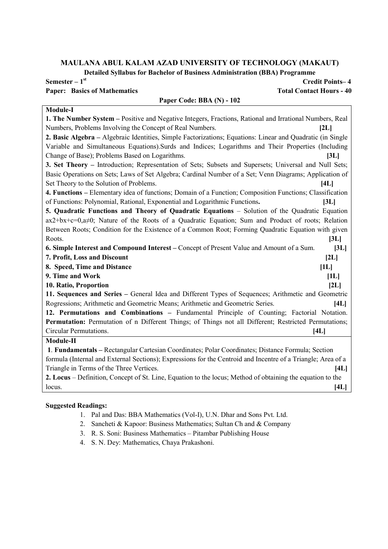Detailed Syllabus for Bachelor of Business Administration (BBA) Programme

# Paper: Basics of Mathematics Total Contact Hours - 40

# Paper Code: BBA (N) - 102

# Semester – 1st Credit Points– 4

# Module-I

1. The Number System – Positive and Negative Integers, Fractions, Rational and Irrational Numbers, Real Numbers, Problems Involving the Concept of Real Numbers. [2L] 2. Basic Algebra – Algebraic Identities, Simple Factorizations; Equations: Linear and Quadratic (in Single Variable and Simultaneous Equations).Surds and Indices; Logarithms and Their Properties (Including Change of Base); Problems Based on Logarithms. [3L] 3. Set Theory – Introduction; Representation of Sets; Subsets and Supersets; Universal and Null Sets; Basic Operations on Sets; Laws of Set Algebra; Cardinal Number of a Set; Venn Diagrams; Application of Set Theory to the Solution of Problems. [4L] 4. Functions – Elementary idea of functions; Domain of a Function; Composition Functions; Classification of Functions: Polynomial, Rational, Exponential and Logarithmic Functions. [3L] 5. Quadratic Functions and Theory of Quadratic Equations – Solution of the Quadratic Equation ax2+bx+c=0,a≠0; Nature of the Roots of a Quadratic Equation; Sum and Product of roots; Relation Between Roots; Condition for the Existence of a Common Root; Forming Quadratic Equation with given Roots. [3L] 6. Simple Interest and Compound Interest – Concept of Present Value and Amount of a Sum. [3L] 7. Profit, Loss and Discount [2L] 8. Speed, Time and Distance [1L] 9. Time and Work [1L] 10. Ratio, Proportion [2L] 11. Sequences and Series – General Idea and Different Types of Sequences; Arithmetic and Geometric Rogressions; Arithmetic and Geometric Means; Arithmetic and Geometric Series. [4L] 12. Permutations and Combinations – Fundamental Principle of Counting; Factorial Notation. Permutation: Permutation of n Different Things; of Things not all Different; Restricted Permutations; Circular Permutations. [4L] Module-II

1. Fundamentals – Rectangular Cartesian Coordinates; Polar Coordinates; Distance Formula; Section formula (Internal and External Sections); Expressions for the Centroid and Incentre of a Triangle; Area of a Triangle in Terms of the Three Vertices. [4L]

2. Locus – Definition, Concept of St. Line, Equation to the locus; Method of obtaining the equation to the  $\lbrack \text{locus.} \rbrack$ 

- 1. Pal and Das: BBA Mathematics (Vol-I), U.N. Dhar and Sons Pvt. Ltd.
- 2. Sancheti & Kapoor: Business Mathematics; Sultan Ch and & Company
- 3. R. S. Soni: Business Mathematics Pitambar Publishing House
- 4. S. N. Dey: Mathematics, Chaya Prakashoni.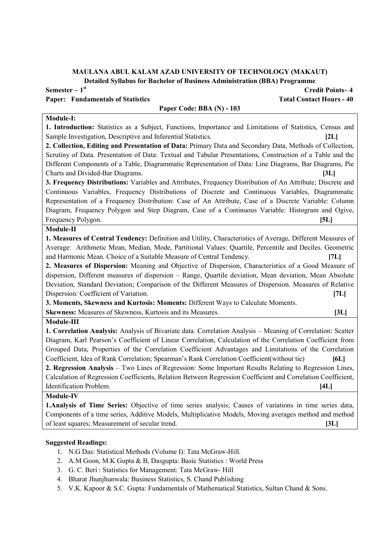Detailed Syllabus for Bachelor of Business Administration (BBA) Programme

Semester – 1<sup>st</sup> Credit Points– 4 Paper: Fundamentals of Statistics Total Contact Hours - 40 Paper Code: BBA (N) - 103 Module-I: 1. Introduction: Statistics as a Subject, Functions, Importance and Limitations of Statistics, Census and Sample Investigation, Descriptive and Inferential Statistics. [2L] 2. Collection, Editing and Presentation of Data: Primary Data and Secondary Data, Methods of Collection, Scrutiny of Data. Presentation of Data: Textual and Tabular Presentations, Construction of a Table and the Different Components of a Table, Diagrammatic Representation of Data: Line Diagrams, Bar Diagrams, Pie Charts and Divided-Bar Diagrams. [3L] 3. Frequency Distributions: Variables and Attributes, Frequency Distribution of An Attribute; Discrete and Continuous Variables, Frequency Distributions of Discrete and Continuous Variables, Diagrammatic Representation of a Frequency Distribution: Case of An Attribute, Case of a Discrete Variable: Column Diagram, Frequency Polygon and Step Diagram, Case of a Continuous Variable: Histogram and Ogive, Frequency Polygon. [5L] Module-II 1. Measures of Central Tendency: Definition and Utility, Characteristics of Average, Different Measures of Average: Arithmetic Mean, Median, Mode, Partitional Values: Quartile, Percentile and Deciles. Geometric and Harmonic Mean. Choice of a Suitable Measure of Central Tendency. [7L] 2. Measures of Dispersion: Meaning and Objective of Dispersion, Characteristics of a Good Measure of dispersion, Different measures of dispersion – Range, Quartile deviation, Mean deviation, Mean Absolute Deviation, Standard Deviation; Comparison of the Different Measures of Dispersion. Measures of Relative Dispersion: Coefficient of Variation. [7L] 3. Moments, Skewness and Kurtosis: Moments: Different Ways to Calculate Moments. Skewness: Measures of Skewness, Kurtosis and its Measures. [3L] Module-III 1. Correlation Analysis: Analysis of Bivariate data. Correlation Analysis – Meaning of Correlation: Scatter Diagram, Karl Pearson's Coefficient of Linear Correlation, Calculation of the Correlation Coefficient from Grouped Data, Properties of the Correlation Coefficient Advantages and Limitations of the Correlation Coefficient, Idea of Rank Correlation; Spearman's Rank Correlation Coefficient(without tie) [6L] 2. Regression Analysis – Two Lines of Regression: Some Important Results Relating to Regression Lines, Calculation of Regression Coefficients, Relation Between Regression Coefficient and Correlation Coefficient, Identification Problem. [4L]

# Module-IV

1.Analysis of Time Series: Objective of time series analysis; Causes of variations in time series data, Components of a time series, Additive Models, Multiplicative Models, Moving averages method and method of least squares; Measurement of secular trend. [3L]

- 1. N.G Das: Statistical Methods (Volume I): Tata McGraw-Hill.
- 2. A.M Goon, M.K Gupta & B, Dasgupta: Basic Statistics : World Press
- 3. G. C. Beri : Statistics for Management: Tata McGraw- Hill
- 4. Bharat Jhunjhunwala: Business Statistics, S. Chand Publishing
- 5. V.K. Kapoor & S.C. Gupta: Fundamentals of Mathematical Statistics, Sultan Chand & Sons.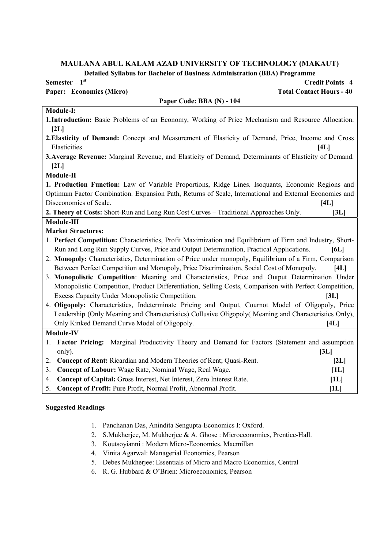Detailed Syllabus for Bachelor of Business Administration (BBA) Programme

| $D$ vianva $D$ ynadas for Davnvior of Dasinvss Avanhinstration (DDA) i rogramm<br>Semester $-1st$         | <b>Credit Points-4</b> |
|-----------------------------------------------------------------------------------------------------------|------------------------|
| <b>Paper: Economics (Micro)</b><br><b>Total Contact Hours - 40</b>                                        |                        |
| Paper Code: BBA (N) - 104                                                                                 |                        |
| Module-I:                                                                                                 |                        |
| 1. Introduction: Basic Problems of an Economy, Working of Price Mechanism and Resource Allocation.        |                        |
| [2L]                                                                                                      |                        |
| 2. Elasticity of Demand: Concept and Measurement of Elasticity of Demand, Price, Income and Cross         |                        |
| Elasticities                                                                                              | [4L]                   |
| 3. Average Revenue: Marginal Revenue, and Elasticity of Demand, Determinants of Elasticity of Demand.     |                        |
| [2L]                                                                                                      |                        |
| Module-II                                                                                                 |                        |
| 1. Production Function: Law of Variable Proportions, Ridge Lines. Isoquants, Economic Regions and         |                        |
| Optimum Factor Combination. Expansion Path, Returns of Scale, International and External Economies and    |                        |
| Diseconomies of Scale.                                                                                    | [4L]                   |
| 2. Theory of Costs: Short-Run and Long Run Cost Curves – Traditional Approaches Only.                     | [3L]                   |
| Module-III                                                                                                |                        |
| <b>Market Structures:</b>                                                                                 |                        |
| 1. Perfect Competition: Characteristics, Profit Maximization and Equilibrium of Firm and Industry, Short- |                        |
| Run and Long Run Supply Curves, Price and Output Determination, Practical Applications.                   | [6L]                   |
| 2. Monopoly: Characteristics, Determination of Price under monopoly, Equilibrium of a Firm, Comparison    |                        |
| Between Perfect Competition and Monopoly, Price Discrimination, Social Cost of Monopoly.                  | [4L]                   |
| 3. Monopolistic Competition: Meaning and Characteristics, Price and Output Determination Under            |                        |
| Monopolistic Competition, Product Differentiation, Selling Costs, Comparison with Perfect Competition,    |                        |
| Excess Capacity Under Monopolistic Competition.                                                           | [3L]                   |
| 4. Oligopoly: Characteristics, Indeterminate Pricing and Output, Cournot Model of Oligopoly, Price        |                        |
| Leadership (Only Meaning and Characteristics) Collusive Oligopoly( Meaning and Characteristics Only),     |                        |
| Only Kinked Demand Curve Model of Oligopoly.                                                              | [4L]                   |
| Module-IV                                                                                                 |                        |
| Factor Pricing: Marginal Productivity Theory and Demand for Factors (Statement and assumption<br>1.       |                        |
| only).                                                                                                    | [3L]                   |
| Concept of Rent: Ricardian and Modern Theories of Rent; Quasi-Rent.<br>2.                                 | [2L]                   |
| Concept of Labour: Wage Rate, Nominal Wage, Real Wage.<br>3.                                              | [1L]                   |
| Concept of Capital: Gross Interest, Net Interest, Zero Interest Rate.<br>4.                               | [1L]                   |
| Concept of Profit: Pure Profit, Normal Profit, Abnormal Profit.<br>5.                                     | [1L]                   |

- 1. Panchanan Das, Anindita Sengupta-Economics I: Oxford.
- 2. S.Mukherjee, M. Mukherjee & A. Ghose : Microeconomics, Prentice-Hall.
- 3. Koutsoyianni : Modern Micro-Economics, Macmillan
- 4. Vinita Agarwal: Managerial Economics, Pearson
- 5. Debes Mukherjee: Essentials of Micro and Macro Economics, Central
- 6. R. G. Hubbard & O'Brien: Microeconomics, Pearson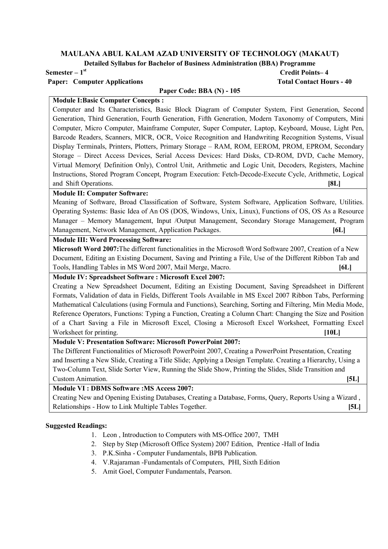Detailed Syllabus for Bachelor of Business Administration (BBA) Programme

Paper: Computer Applications Total Contact Hours - 40

# Semester – 1st Credit Points– 4

# Paper Code: BBA (N) - 105

Module I:Basic Computer Concepts :

Computer and Its Characteristics, Basic Block Diagram of Computer System, First Generation, Second Generation, Third Generation, Fourth Generation, Fifth Generation, Modern Taxonomy of Computers, Mini Computer, Micro Computer, Mainframe Computer, Super Computer, Laptop, Keyboard, Mouse, Light Pen, Barcode Readers, Scanners, MICR, OCR, Voice Recognition and Handwriting Recognition Systems, Visual Display Terminals, Printers, Plotters, Primary Storage – RAM, ROM, EEROM, PROM, EPROM, Secondary Storage – Direct Access Devices, Serial Access Devices: Hard Disks, CD-ROM, DVD, Cache Memory, Virtual Memory( Definition Only), Control Unit, Arithmetic and Logic Unit, Decoders, Registers, Machine Instructions, Stored Program Concept, Program Execution: Fetch-Decode-Execute Cycle, Arithmetic, Logical and Shift Operations. [8L]

#### Module II: Computer Software:

Meaning of Software, Broad Classification of Software, System Software, Application Software, Utilities. Operating Systems: Basic Idea of An OS (DOS, Windows, Unix, Linux), Functions of OS, OS As a Resource Manager – Memory Management, Input /Output Management, Secondary Storage Management, Program Management, Network Management, Application Packages. [6L]

# Module III: Word Processing Software:

Microsoft Word 2007:The different functionalities in the Microsoft Word Software 2007, Creation of a New Document, Editing an Existing Document, Saving and Printing a File, Use of the Different Ribbon Tab and Tools, Handling Tables in MS Word 2007, Mail Merge, Macro. [6L]

# Module IV: Spreadsheet Software : Microsoft Excel 2007:

Creating a New Spreadsheet Document, Editing an Existing Document, Saving Spreadsheet in Different Formats, Validation of data in Fields, Different Tools Available in MS Excel 2007 Ribbon Tabs, Performing Mathematical Calculations (using Formula and Functions), Searching, Sorting and Filtering, Min Media Mode, Reference Operators, Functions: Typing a Function, Creating a Column Chart: Changing the Size and Position of a Chart Saving a File in Microsoft Excel, Closing a Microsoft Excel Worksheet, Formatting Excel Worksheet for printing. [10L] [10L]

# Module V: Presentation Software: Microsoft PowerPoint 2007:

The Different Functionalities of Microsoft PowerPoint 2007, Creating a PowerPoint Presentation, Creating and Inserting a New Slide, Creating a Title Slide; Applying a Design Template. Creating a Hierarchy, Using a Two-Column Text, Slide Sorter View, Running the Slide Show, Printing the Slides, Slide Transition and Custom Animation. [5L]

# Module VI : DBMS Software :MS Access 2007:

Creating New and Opening Existing Databases, Creating a Database, Forms, Query, Reports Using a Wizard , Relationships - How to Link Multiple Tables Together. [5L]

- 1. Leon , Introduction to Computers with MS-Office 2007, TMH
- 2. Step by Step (Microsoft Office System) 2007 Edition, Prentice -Hall of India
- 3. P.K.Sinha Computer Fundamentals, BPB Publication.
- 4. V.Rajaraman -Fundamentals of Computers, PHI, Sixth Edition
- 5. Amit Goel, Computer Fundamentals, Pearson.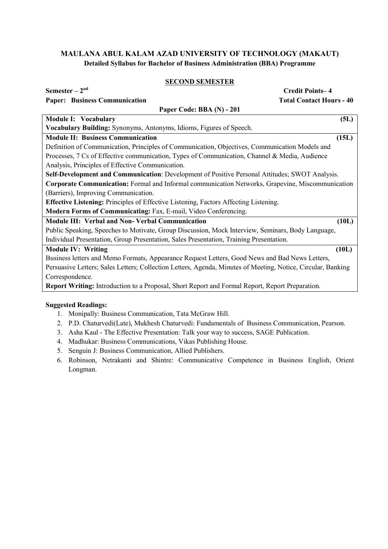# SECOND SEMESTER

| Semester $-2^{nd}$                                                                                           | <b>Credit Points-4</b>          |
|--------------------------------------------------------------------------------------------------------------|---------------------------------|
| <b>Paper: Business Communication</b>                                                                         | <b>Total Contact Hours - 40</b> |
| Paper Code: BBA (N) - 201                                                                                    |                                 |
| <b>Module I: Vocabulary</b>                                                                                  | (5L)                            |
| Vocabulary Building: Synonyms, Antonyms, Idioms, Figures of Speech.                                          |                                 |
| <b>Module II: Business Communication</b>                                                                     | (15L)                           |
| Definition of Communication, Principles of Communication, Objectives, Communication Models and               |                                 |
| Processes, 7 Cs of Effective communication, Types of Communication, Channel & Media, Audience                |                                 |
| Analysis, Principles of Effective Communication.                                                             |                                 |
| Self-Development and Communication: Development of Positive Personal Attitudes; SWOT Analysis.               |                                 |
| <b>Corporate Communication:</b> Formal and Informal communication Networks, Grapevine, Miscommunication      |                                 |
| (Barriers), Improving Communication.                                                                         |                                 |
| Effective Listening: Principles of Effective Listening, Factors Affecting Listening.                         |                                 |
| Modern Forms of Communicating: Fax, E-mail, Video Conferencing.                                              |                                 |
| <b>Module III: Verbal and Non-Verbal Communication</b>                                                       | (10L)                           |
| Public Speaking, Speeches to Motivate, Group Discussion, Mock Interview, Seminars, Body Language,            |                                 |
| Individual Presentation, Group Presentation, Sales Presentation, Training Presentation.                      |                                 |
| <b>Module IV: Writing</b>                                                                                    | (10L)                           |
| Business letters and Memo Formats, Appearance Request Letters, Good News and Bad News Letters,               |                                 |
| Persuasive Letters; Sales Letters; Collection Letters, Agenda, Minutes of Meeting, Notice, Circular, Banking |                                 |
| Correspondence.                                                                                              |                                 |
| <b>Report Writing:</b> Introduction to a Proposal, Short Report and Formal Report, Report Preparation.       |                                 |
|                                                                                                              |                                 |

- 1. Monipally: Business Communication, Tata McGraw Hill.
- 2. P.D. Chaturvedi(Late), Mukhesh Chaturvedi: Fundamentals of Business Communication, Pearson.
- 3. Asha Kaul The Effective Presentation: Talk your way to success, SAGE Publication.
- 4. Madhukar: Business Communications, Vikas Publishing House.
- 5. Senguin J: Business Communication, Allied Publishers.
- 6. Robinson, Netrakanti and Shintre: Communicative Competence in Business English, Orient Longman.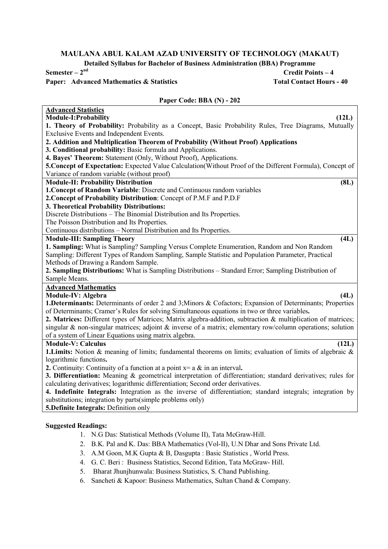Detailed Syllabus for Bachelor of Business Administration (BBA) Programme

Semester  $-2^{nd}$  Credit Points  $-4$ Paper: Advanced Mathematics & Statistics Total Contact Hours - 40

# Paper Code: BBA (N) - 202

| 1. Theory of Probability: Probability as a Concept, Basic Probability Rules, Tree Diagrams, Mutually<br>Exclusive Events and Independent Events.<br>2. Addition and Multiplication Theorem of Probability (Without Proof) Applications<br>3. Conditional probability: Basic formula and Applications.<br>4. Bayes' Theorem: Statement (Only, Without Proof), Applications.<br>5. Concept of Expectation: Expected Value Calculation(Without Proof of the Different Formula), Concept of<br>Variance of random variable (without proof)<br><b>Module-II: Probability Distribution</b><br>(8L)<br>1. Concept of Random Variable: Discrete and Continuous random variables<br>2. Concept of Probability Distribution: Concept of P.M.F and P.D.F<br>3. Theoretical Probability Distributions:<br>Discrete Distributions - The Binomial Distribution and Its Properties.<br>The Poisson Distribution and Its Properties.<br>Continuous distributions - Normal Distribution and Its Properties.<br><b>Module-III: Sampling Theory</b><br>(4L)<br>1. Sampling: What is Sampling? Sampling Versus Complete Enumeration, Random and Non Random<br>Sampling: Different Types of Random Sampling, Sample Statistic and Population Parameter, Practical<br>Methods of Drawing a Random Sample.<br>2. Sampling Distributions: What is Sampling Distributions – Standard Error; Sampling Distribution of<br>Sample Means.<br><b>Advanced Mathematics</b><br>Module-IV: Algebra<br>(4L)<br>1. Determinants: Determinants of order 2 and 3; Minors & Cofactors; Expansion of Determinants; Properties<br>of Determinants; Cramer's Rules for solving Simultaneous equations in two or three variables.<br>2. Matrices: Different types of Matrices; Matrix algebra-addition, subtraction & multiplication of matrices;<br>singular & non-singular matrices; adjoint & inverse of a matrix; elementary row/column operations; solution<br>of a system of Linear Equations using matrix algebra.<br><b>Module-V: Calculus</b><br>(12L)<br>1. Limits: Notion & meaning of limits; fundamental theorems on limits; evaluation of limits of algebraic &<br>logarithmic functions.<br>2. Continuity: Continuity of a function at a point $x = a \&$ in an interval.<br>3. Differentiation: Meaning & geometrical interpretation of differentiation; standard derivatives; rules for<br>calculating derivatives; logarithmic differentiation; Second order derivatives.<br>4. Indefinite Integrals: Integration as the inverse of differentiation; standard integrals; integration by<br>substitutions; integration by parts(simple problems only)<br>5. Definite Integrals: Definition only | <b>Advanced Statistics</b>     |
|------------------------------------------------------------------------------------------------------------------------------------------------------------------------------------------------------------------------------------------------------------------------------------------------------------------------------------------------------------------------------------------------------------------------------------------------------------------------------------------------------------------------------------------------------------------------------------------------------------------------------------------------------------------------------------------------------------------------------------------------------------------------------------------------------------------------------------------------------------------------------------------------------------------------------------------------------------------------------------------------------------------------------------------------------------------------------------------------------------------------------------------------------------------------------------------------------------------------------------------------------------------------------------------------------------------------------------------------------------------------------------------------------------------------------------------------------------------------------------------------------------------------------------------------------------------------------------------------------------------------------------------------------------------------------------------------------------------------------------------------------------------------------------------------------------------------------------------------------------------------------------------------------------------------------------------------------------------------------------------------------------------------------------------------------------------------------------------------------------------------------------------------------------------------------------------------------------------------------------------------------------------------------------------------------------------------------------------------------------------------------------------------------------------------------------------------------------------------------------------------------------------------------------------------------------------------------------------------------------------------------------------------------------------------|--------------------------------|
|                                                                                                                                                                                                                                                                                                                                                                                                                                                                                                                                                                                                                                                                                                                                                                                                                                                                                                                                                                                                                                                                                                                                                                                                                                                                                                                                                                                                                                                                                                                                                                                                                                                                                                                                                                                                                                                                                                                                                                                                                                                                                                                                                                                                                                                                                                                                                                                                                                                                                                                                                                                                                                                                        | Module-I: Probability<br>(12L) |
|                                                                                                                                                                                                                                                                                                                                                                                                                                                                                                                                                                                                                                                                                                                                                                                                                                                                                                                                                                                                                                                                                                                                                                                                                                                                                                                                                                                                                                                                                                                                                                                                                                                                                                                                                                                                                                                                                                                                                                                                                                                                                                                                                                                                                                                                                                                                                                                                                                                                                                                                                                                                                                                                        |                                |
|                                                                                                                                                                                                                                                                                                                                                                                                                                                                                                                                                                                                                                                                                                                                                                                                                                                                                                                                                                                                                                                                                                                                                                                                                                                                                                                                                                                                                                                                                                                                                                                                                                                                                                                                                                                                                                                                                                                                                                                                                                                                                                                                                                                                                                                                                                                                                                                                                                                                                                                                                                                                                                                                        |                                |
|                                                                                                                                                                                                                                                                                                                                                                                                                                                                                                                                                                                                                                                                                                                                                                                                                                                                                                                                                                                                                                                                                                                                                                                                                                                                                                                                                                                                                                                                                                                                                                                                                                                                                                                                                                                                                                                                                                                                                                                                                                                                                                                                                                                                                                                                                                                                                                                                                                                                                                                                                                                                                                                                        |                                |
|                                                                                                                                                                                                                                                                                                                                                                                                                                                                                                                                                                                                                                                                                                                                                                                                                                                                                                                                                                                                                                                                                                                                                                                                                                                                                                                                                                                                                                                                                                                                                                                                                                                                                                                                                                                                                                                                                                                                                                                                                                                                                                                                                                                                                                                                                                                                                                                                                                                                                                                                                                                                                                                                        |                                |
|                                                                                                                                                                                                                                                                                                                                                                                                                                                                                                                                                                                                                                                                                                                                                                                                                                                                                                                                                                                                                                                                                                                                                                                                                                                                                                                                                                                                                                                                                                                                                                                                                                                                                                                                                                                                                                                                                                                                                                                                                                                                                                                                                                                                                                                                                                                                                                                                                                                                                                                                                                                                                                                                        |                                |
|                                                                                                                                                                                                                                                                                                                                                                                                                                                                                                                                                                                                                                                                                                                                                                                                                                                                                                                                                                                                                                                                                                                                                                                                                                                                                                                                                                                                                                                                                                                                                                                                                                                                                                                                                                                                                                                                                                                                                                                                                                                                                                                                                                                                                                                                                                                                                                                                                                                                                                                                                                                                                                                                        |                                |
|                                                                                                                                                                                                                                                                                                                                                                                                                                                                                                                                                                                                                                                                                                                                                                                                                                                                                                                                                                                                                                                                                                                                                                                                                                                                                                                                                                                                                                                                                                                                                                                                                                                                                                                                                                                                                                                                                                                                                                                                                                                                                                                                                                                                                                                                                                                                                                                                                                                                                                                                                                                                                                                                        |                                |
|                                                                                                                                                                                                                                                                                                                                                                                                                                                                                                                                                                                                                                                                                                                                                                                                                                                                                                                                                                                                                                                                                                                                                                                                                                                                                                                                                                                                                                                                                                                                                                                                                                                                                                                                                                                                                                                                                                                                                                                                                                                                                                                                                                                                                                                                                                                                                                                                                                                                                                                                                                                                                                                                        |                                |
|                                                                                                                                                                                                                                                                                                                                                                                                                                                                                                                                                                                                                                                                                                                                                                                                                                                                                                                                                                                                                                                                                                                                                                                                                                                                                                                                                                                                                                                                                                                                                                                                                                                                                                                                                                                                                                                                                                                                                                                                                                                                                                                                                                                                                                                                                                                                                                                                                                                                                                                                                                                                                                                                        |                                |
|                                                                                                                                                                                                                                                                                                                                                                                                                                                                                                                                                                                                                                                                                                                                                                                                                                                                                                                                                                                                                                                                                                                                                                                                                                                                                                                                                                                                                                                                                                                                                                                                                                                                                                                                                                                                                                                                                                                                                                                                                                                                                                                                                                                                                                                                                                                                                                                                                                                                                                                                                                                                                                                                        |                                |
|                                                                                                                                                                                                                                                                                                                                                                                                                                                                                                                                                                                                                                                                                                                                                                                                                                                                                                                                                                                                                                                                                                                                                                                                                                                                                                                                                                                                                                                                                                                                                                                                                                                                                                                                                                                                                                                                                                                                                                                                                                                                                                                                                                                                                                                                                                                                                                                                                                                                                                                                                                                                                                                                        |                                |
|                                                                                                                                                                                                                                                                                                                                                                                                                                                                                                                                                                                                                                                                                                                                                                                                                                                                                                                                                                                                                                                                                                                                                                                                                                                                                                                                                                                                                                                                                                                                                                                                                                                                                                                                                                                                                                                                                                                                                                                                                                                                                                                                                                                                                                                                                                                                                                                                                                                                                                                                                                                                                                                                        |                                |
|                                                                                                                                                                                                                                                                                                                                                                                                                                                                                                                                                                                                                                                                                                                                                                                                                                                                                                                                                                                                                                                                                                                                                                                                                                                                                                                                                                                                                                                                                                                                                                                                                                                                                                                                                                                                                                                                                                                                                                                                                                                                                                                                                                                                                                                                                                                                                                                                                                                                                                                                                                                                                                                                        |                                |
|                                                                                                                                                                                                                                                                                                                                                                                                                                                                                                                                                                                                                                                                                                                                                                                                                                                                                                                                                                                                                                                                                                                                                                                                                                                                                                                                                                                                                                                                                                                                                                                                                                                                                                                                                                                                                                                                                                                                                                                                                                                                                                                                                                                                                                                                                                                                                                                                                                                                                                                                                                                                                                                                        |                                |
|                                                                                                                                                                                                                                                                                                                                                                                                                                                                                                                                                                                                                                                                                                                                                                                                                                                                                                                                                                                                                                                                                                                                                                                                                                                                                                                                                                                                                                                                                                                                                                                                                                                                                                                                                                                                                                                                                                                                                                                                                                                                                                                                                                                                                                                                                                                                                                                                                                                                                                                                                                                                                                                                        |                                |
|                                                                                                                                                                                                                                                                                                                                                                                                                                                                                                                                                                                                                                                                                                                                                                                                                                                                                                                                                                                                                                                                                                                                                                                                                                                                                                                                                                                                                                                                                                                                                                                                                                                                                                                                                                                                                                                                                                                                                                                                                                                                                                                                                                                                                                                                                                                                                                                                                                                                                                                                                                                                                                                                        |                                |
|                                                                                                                                                                                                                                                                                                                                                                                                                                                                                                                                                                                                                                                                                                                                                                                                                                                                                                                                                                                                                                                                                                                                                                                                                                                                                                                                                                                                                                                                                                                                                                                                                                                                                                                                                                                                                                                                                                                                                                                                                                                                                                                                                                                                                                                                                                                                                                                                                                                                                                                                                                                                                                                                        |                                |
|                                                                                                                                                                                                                                                                                                                                                                                                                                                                                                                                                                                                                                                                                                                                                                                                                                                                                                                                                                                                                                                                                                                                                                                                                                                                                                                                                                                                                                                                                                                                                                                                                                                                                                                                                                                                                                                                                                                                                                                                                                                                                                                                                                                                                                                                                                                                                                                                                                                                                                                                                                                                                                                                        |                                |
|                                                                                                                                                                                                                                                                                                                                                                                                                                                                                                                                                                                                                                                                                                                                                                                                                                                                                                                                                                                                                                                                                                                                                                                                                                                                                                                                                                                                                                                                                                                                                                                                                                                                                                                                                                                                                                                                                                                                                                                                                                                                                                                                                                                                                                                                                                                                                                                                                                                                                                                                                                                                                                                                        |                                |
|                                                                                                                                                                                                                                                                                                                                                                                                                                                                                                                                                                                                                                                                                                                                                                                                                                                                                                                                                                                                                                                                                                                                                                                                                                                                                                                                                                                                                                                                                                                                                                                                                                                                                                                                                                                                                                                                                                                                                                                                                                                                                                                                                                                                                                                                                                                                                                                                                                                                                                                                                                                                                                                                        |                                |
|                                                                                                                                                                                                                                                                                                                                                                                                                                                                                                                                                                                                                                                                                                                                                                                                                                                                                                                                                                                                                                                                                                                                                                                                                                                                                                                                                                                                                                                                                                                                                                                                                                                                                                                                                                                                                                                                                                                                                                                                                                                                                                                                                                                                                                                                                                                                                                                                                                                                                                                                                                                                                                                                        |                                |
|                                                                                                                                                                                                                                                                                                                                                                                                                                                                                                                                                                                                                                                                                                                                                                                                                                                                                                                                                                                                                                                                                                                                                                                                                                                                                                                                                                                                                                                                                                                                                                                                                                                                                                                                                                                                                                                                                                                                                                                                                                                                                                                                                                                                                                                                                                                                                                                                                                                                                                                                                                                                                                                                        |                                |
|                                                                                                                                                                                                                                                                                                                                                                                                                                                                                                                                                                                                                                                                                                                                                                                                                                                                                                                                                                                                                                                                                                                                                                                                                                                                                                                                                                                                                                                                                                                                                                                                                                                                                                                                                                                                                                                                                                                                                                                                                                                                                                                                                                                                                                                                                                                                                                                                                                                                                                                                                                                                                                                                        |                                |
|                                                                                                                                                                                                                                                                                                                                                                                                                                                                                                                                                                                                                                                                                                                                                                                                                                                                                                                                                                                                                                                                                                                                                                                                                                                                                                                                                                                                                                                                                                                                                                                                                                                                                                                                                                                                                                                                                                                                                                                                                                                                                                                                                                                                                                                                                                                                                                                                                                                                                                                                                                                                                                                                        |                                |
|                                                                                                                                                                                                                                                                                                                                                                                                                                                                                                                                                                                                                                                                                                                                                                                                                                                                                                                                                                                                                                                                                                                                                                                                                                                                                                                                                                                                                                                                                                                                                                                                                                                                                                                                                                                                                                                                                                                                                                                                                                                                                                                                                                                                                                                                                                                                                                                                                                                                                                                                                                                                                                                                        |                                |
|                                                                                                                                                                                                                                                                                                                                                                                                                                                                                                                                                                                                                                                                                                                                                                                                                                                                                                                                                                                                                                                                                                                                                                                                                                                                                                                                                                                                                                                                                                                                                                                                                                                                                                                                                                                                                                                                                                                                                                                                                                                                                                                                                                                                                                                                                                                                                                                                                                                                                                                                                                                                                                                                        |                                |
|                                                                                                                                                                                                                                                                                                                                                                                                                                                                                                                                                                                                                                                                                                                                                                                                                                                                                                                                                                                                                                                                                                                                                                                                                                                                                                                                                                                                                                                                                                                                                                                                                                                                                                                                                                                                                                                                                                                                                                                                                                                                                                                                                                                                                                                                                                                                                                                                                                                                                                                                                                                                                                                                        |                                |
|                                                                                                                                                                                                                                                                                                                                                                                                                                                                                                                                                                                                                                                                                                                                                                                                                                                                                                                                                                                                                                                                                                                                                                                                                                                                                                                                                                                                                                                                                                                                                                                                                                                                                                                                                                                                                                                                                                                                                                                                                                                                                                                                                                                                                                                                                                                                                                                                                                                                                                                                                                                                                                                                        |                                |
|                                                                                                                                                                                                                                                                                                                                                                                                                                                                                                                                                                                                                                                                                                                                                                                                                                                                                                                                                                                                                                                                                                                                                                                                                                                                                                                                                                                                                                                                                                                                                                                                                                                                                                                                                                                                                                                                                                                                                                                                                                                                                                                                                                                                                                                                                                                                                                                                                                                                                                                                                                                                                                                                        |                                |
|                                                                                                                                                                                                                                                                                                                                                                                                                                                                                                                                                                                                                                                                                                                                                                                                                                                                                                                                                                                                                                                                                                                                                                                                                                                                                                                                                                                                                                                                                                                                                                                                                                                                                                                                                                                                                                                                                                                                                                                                                                                                                                                                                                                                                                                                                                                                                                                                                                                                                                                                                                                                                                                                        |                                |
|                                                                                                                                                                                                                                                                                                                                                                                                                                                                                                                                                                                                                                                                                                                                                                                                                                                                                                                                                                                                                                                                                                                                                                                                                                                                                                                                                                                                                                                                                                                                                                                                                                                                                                                                                                                                                                                                                                                                                                                                                                                                                                                                                                                                                                                                                                                                                                                                                                                                                                                                                                                                                                                                        |                                |
|                                                                                                                                                                                                                                                                                                                                                                                                                                                                                                                                                                                                                                                                                                                                                                                                                                                                                                                                                                                                                                                                                                                                                                                                                                                                                                                                                                                                                                                                                                                                                                                                                                                                                                                                                                                                                                                                                                                                                                                                                                                                                                                                                                                                                                                                                                                                                                                                                                                                                                                                                                                                                                                                        |                                |
|                                                                                                                                                                                                                                                                                                                                                                                                                                                                                                                                                                                                                                                                                                                                                                                                                                                                                                                                                                                                                                                                                                                                                                                                                                                                                                                                                                                                                                                                                                                                                                                                                                                                                                                                                                                                                                                                                                                                                                                                                                                                                                                                                                                                                                                                                                                                                                                                                                                                                                                                                                                                                                                                        |                                |
|                                                                                                                                                                                                                                                                                                                                                                                                                                                                                                                                                                                                                                                                                                                                                                                                                                                                                                                                                                                                                                                                                                                                                                                                                                                                                                                                                                                                                                                                                                                                                                                                                                                                                                                                                                                                                                                                                                                                                                                                                                                                                                                                                                                                                                                                                                                                                                                                                                                                                                                                                                                                                                                                        |                                |
|                                                                                                                                                                                                                                                                                                                                                                                                                                                                                                                                                                                                                                                                                                                                                                                                                                                                                                                                                                                                                                                                                                                                                                                                                                                                                                                                                                                                                                                                                                                                                                                                                                                                                                                                                                                                                                                                                                                                                                                                                                                                                                                                                                                                                                                                                                                                                                                                                                                                                                                                                                                                                                                                        |                                |
|                                                                                                                                                                                                                                                                                                                                                                                                                                                                                                                                                                                                                                                                                                                                                                                                                                                                                                                                                                                                                                                                                                                                                                                                                                                                                                                                                                                                                                                                                                                                                                                                                                                                                                                                                                                                                                                                                                                                                                                                                                                                                                                                                                                                                                                                                                                                                                                                                                                                                                                                                                                                                                                                        |                                |
|                                                                                                                                                                                                                                                                                                                                                                                                                                                                                                                                                                                                                                                                                                                                                                                                                                                                                                                                                                                                                                                                                                                                                                                                                                                                                                                                                                                                                                                                                                                                                                                                                                                                                                                                                                                                                                                                                                                                                                                                                                                                                                                                                                                                                                                                                                                                                                                                                                                                                                                                                                                                                                                                        |                                |
| <b>Suggested Readings:</b>                                                                                                                                                                                                                                                                                                                                                                                                                                                                                                                                                                                                                                                                                                                                                                                                                                                                                                                                                                                                                                                                                                                                                                                                                                                                                                                                                                                                                                                                                                                                                                                                                                                                                                                                                                                                                                                                                                                                                                                                                                                                                                                                                                                                                                                                                                                                                                                                                                                                                                                                                                                                                                             |                                |

# 1. N.G Das: Statistical Methods (Volume II), Tata McGraw-Hill.

- 2. B.K. Pal and K. Das: BBA Mathematics (Vol-II), U.N Dhar and Sons Private Ltd.
- 3. A.M Goon, M.K Gupta & B, Dasgupta : Basic Statistics , World Press.
- 4. G. C. Beri : Business Statistics, Second Edition, Tata McGraw- Hill.
- 5. Bharat Jhunjhunwala: Business Statistics, S. Chand Publishing.
- 6. Sancheti & Kapoor: Business Mathematics, Sultan Chand & Company.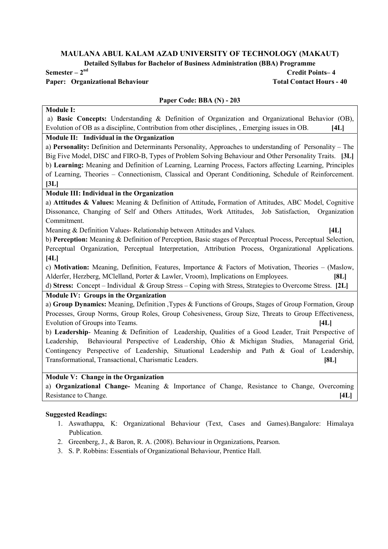Detailed Syllabus for Bachelor of Business Administration (BBA) Programme

# Paper: Organizational Behaviour Total Contact Hours - 40

# $Semester - 2<sup>nd</sup>$  Credit Points–4

# Paper Code: BBA (N) - 203

# Module I:

a) Basic Concepts: Understanding & Definition of Organization and Organizational Behavior (OB), Evolution of OB as a discipline, Contribution from other disciplines, , Emerging issues in OB. [4L]

# Module II: Individual in the Organization

a) Personality: Definition and Determinants Personality, Approaches to understanding of Personality – The Big Five Model, DISC and FIRO-B, Types of Problem Solving Behaviour and Other Personality Traits. [3L] b) Learning: Meaning and Definition of Learning, Learning Process, Factors affecting Learning, Principles of Learning, Theories – Connectionism, Classical and Operant Conditioning, Schedule of Reinforcement.  $[3L]$ 

# Module III: Individual in the Organization

a) Attitudes & Values: Meaning & Definition of Attitude, Formation of Attitudes, ABC Model, Cognitive Dissonance, Changing of Self and Others Attitudes, Work Attitudes, Job Satisfaction, Organization Commitment.

Meaning & Definition Values- Relationship between Attitudes and Values. [4L]

b) Perception: Meaning & Definition of Perception, Basic stages of Perceptual Process, Perceptual Selection, Perceptual Organization, Perceptual Interpretation, Attribution Process, Organizational Applications.  $[4L]$ 

c) Motivation: Meaning, Definition, Features, Importance & Factors of Motivation, Theories – (Maslow, Alderfer, Herzberg, MClelland, Porter & Lawler, Vroom), Implications on Employees. [8L]

d) Stress: Concept – Individual & Group Stress – Coping with Stress, Strategies to Overcome Stress. [2L]

# Module IV: Groups in the Organization

a) Group Dynamics: Meaning, Definition ,Types & Functions of Groups, Stages of Group Formation, Group Processes, Group Norms, Group Roles, Group Cohesiveness, Group Size, Threats to Group Effectiveness, Evolution of Groups into Teams. [4L]

b) Leadership- Meaning & Definition of Leadership, Qualities of a Good Leader, Trait Perspective of Leadership, Behavioural Perspective of Leadership, Ohio & Michigan Studies, Managerial Grid, Contingency Perspective of Leadership, Situational Leadership and Path & Goal of Leadership, Transformational, Transactional, Charismatic Leaders. [8L]

# Module V: Change in the Organization

a) Organizational Change- Meaning & Importance of Change, Resistance to Change, Overcoming Resistance to Change. [4L]

- 1. Aswathappa, K: Organizational Behaviour (Text, Cases and Games).Bangalore: Himalaya Publication.
- 2. Greenberg, J., & Baron, R. A. (2008). Behaviour in Organizations, Pearson.
- 3. S. P. Robbins: Essentials of Organizational Behaviour, Prentice Hall.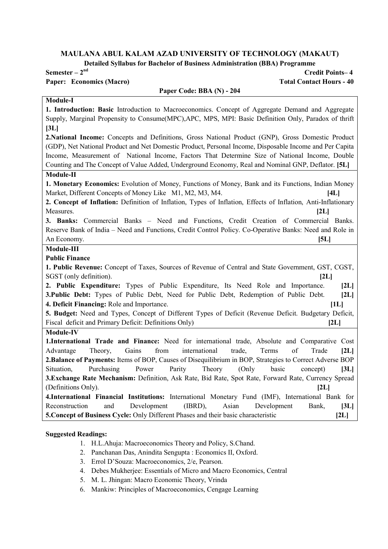Detailed Syllabus for Bachelor of Business Administration (BBA) Programme

#### Paper: Economics (Macro) Total Contact Hours - 40

# $Semester - 2<sup>nd</sup>$  Credit Points–4

# Paper Code: BBA (N) - 204 Module-I 1. Introduction: Basic Introduction to Macroeconomics. Concept of Aggregate Demand and Aggregate Supply, Marginal Propensity to Consume(MPC),APC, MPS, MPI: Basic Definition Only, Paradox of thrift  $[3L]$ 2.National Income: Concepts and Definitions, Gross National Product (GNP), Gross Domestic Product (GDP), Net National Product and Net Domestic Product, Personal Income, Disposable Income and Per Capita Income, Measurement of National Income, Factors That Determine Size of National Income, Double Counting and The Concept of Value Added, Underground Economy, Real and Nominal GNP, Deflator. [5L] Module-II 1. Monetary Economics: Evolution of Money, Functions of Money, Bank and its Functions, Indian Money Market, Different Concepts of Money Like M1, M2, M3, M4. [4L] 2. Concept of Inflation: Definition of Inflation, Types of Inflation, Effects of Inflation, Anti-Inflationary Measures. [2L] [2L] 3. Banks: Commercial Banks – Need and Functions, Credit Creation of Commercial Banks. Reserve Bank of India – Need and Functions, Credit Control Policy. Co-Operative Banks: Need and Role in An Economy. [5L] Module-III Public Finance 1. Public Revenue: Concept of Taxes, Sources of Revenue of Central and State Government, GST, CGST, SGST (only definition). [2L] 2. Public Expenditure: Types of Public Expenditure, Its Need Role and Importance. [2L] 3.Public Debt: Types of Public Debt, Need for Public Debt, Redemption of Public Debt. [2L] 4. Deficit Financing: Role and Importance. [1L] 5. Budget: Need and Types, Concept of Different Types of Deficit (Revenue Deficit. Budgetary Deficit, Fiscal deficit and Primary Deficit: Definitions Only) [2L] Module-IV 1.International Trade and Finance: Need for international trade, Absolute and Comparative Cost Advantage Theory, Gains from international trade, Terms of Trade [2L] 2.Balance of Payments: Items of BOP, Causes of Disequilibrium in BOP, Strategies to Correct Adverse BOP Situation, Purchasing Power Parity Theory (Only basic concept) [3L] 3.Exchange Rate Mechanism: Definition, Ask Rate, Bid Rate, Spot Rate, Forward Rate, Currency Spread

(Definitions Only). [2L] 4.International Financial Institutions: International Monetary Fund (IMF), International Bank for Reconstruction and Development (IBRD), Asian Development Bank, [3L] 5.Concept of Business Cycle: Only Different Phases and their basic characteristic [2L]

- 1. H.L.Ahuja: Macroeconomics Theory and Policy, S.Chand.
- 2. Panchanan Das, Anindita Sengupta : Economics II, Oxford.
- 3. Errol D'Souza: Macroeconomics, 2/e, Pearson.
- 4. Debes Mukherjee: Essentials of Micro and Macro Economics, Central
- 5. M. L. Jhingan: Macro Economic Theory, Vrinda
- 6. Mankiw: Principles of Macroeconomics, Cengage Learning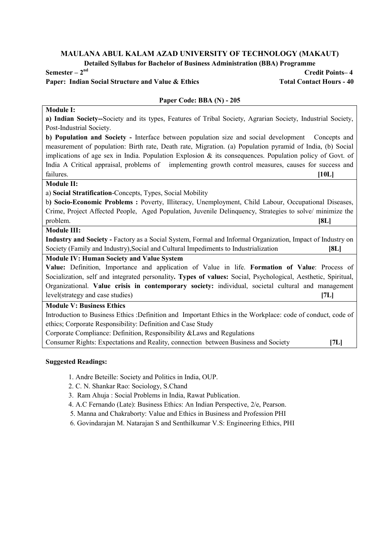Detailed Syllabus for Bachelor of Business Administration (BBA) Programme

# Paper: Indian Social Structure and Value & Ethics Total Contact Hours - 40

Semester – 2nd Credit Points– 4

#### Paper Code: BBA (N) - 205

# Module I:

a) Indian Society--Society and its types, Features of Tribal Society, Agrarian Society, Industrial Society, Post-Industrial Society.

b) Population and Society - Interface between population size and social development Concepts and measurement of population: Birth rate, Death rate, Migration. (a) Population pyramid of India, (b) Social implications of age sex in India. Population Explosion & its consequences. Population policy of Govt. of India A Critical appraisal, problems of implementing growth control measures, causes for success and failures. [10L]

#### Module II:

a) Social Stratification-Concepts, Types, Social Mobility

b) Socio-Economic Problems : Poverty, Illiteracy, Unemployment, Child Labour, Occupational Diseases, Crime, Project Affected People, Aged Population, Juvenile Delinquency, Strategies to solve/ minimize the problem. [8L]

#### Module III:

Industry and Society - Factory as a Social System, Formal and Informal Organization, Impact of Industry on Society (Family and Industry),Social and Cultural Impediments to Industrialization [8L]

### Module IV: Human Society and Value System

Value: Definition, Importance and application of Value in life. Formation of Value: Process of Socialization, self and integrated personality. Types of values: Social, Psychological, Aesthetic, Spiritual, Organizational. Value crisis in contemporary society: individual, societal cultural and management level(strategy and case studies) [7L]

# Module V: Business Ethics

Introduction to Business Ethics :Definition and Important Ethics in the Workplace: code of conduct, code of ethics; Corporate Responsibility: Definition and Case Study

Corporate Compliance: Definition, Responsibility &Laws and Regulations

Consumer Rights: Expectations and Reality, connection between Business and Society [7L]

- 1. Andre Beteille: Society and Politics in India, OUP.
- 2. C. N. Shankar Rao: Sociology, S.Chand
- 3. Ram Ahuja : Social Problems in India, Rawat Publication.
- 4. A.C Fernando (Late): Business Ethics: An Indian Perspective, 2/e, Pearson.
- 5. Manna and Chakraborty: Value and Ethics in Business and Profession PHI
- 6. Govindarajan M. Natarajan S and Senthilkumar V.S: Engineering Ethics, PHI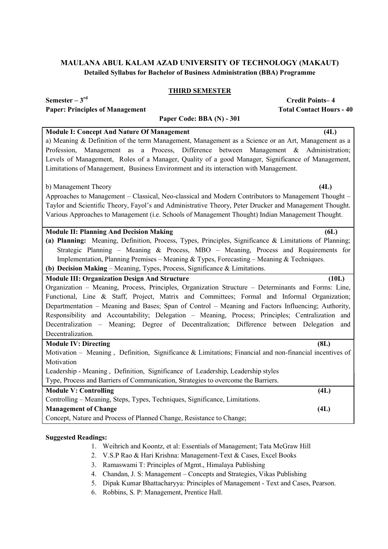# THIRD SEMESTER

 $Semester - 3<sup>rd</sup>$  Credit Points–4

| <b>Total Contact Hours - 40</b><br><b>Paper: Principles of Management</b>                                   |
|-------------------------------------------------------------------------------------------------------------|
| Paper Code: BBA (N) - 301                                                                                   |
| <b>Module I: Concept And Nature Of Management</b><br>(4L)                                                   |
| a) Meaning & Definition of the term Management, Management as a Science or an Art, Management as a          |
| a Process, Difference between Management & Administration;<br>Profession, Management as                     |
| Levels of Management, Roles of a Manager, Quality of a good Manager, Significance of Management,            |
| Limitations of Management, Business Environment and its interaction with Management.                        |
| (4L)<br>b) Management Theory                                                                                |
| Approaches to Management - Classical, Neo-classical and Modern Contributors to Management Thought -         |
| Taylor and Scientific Theory, Fayol's and Administrative Theory, Peter Drucker and Management Thought.      |
| Various Approaches to Management (i.e. Schools of Management Thought) Indian Management Thought.            |
|                                                                                                             |
| <b>Module II: Planning And Decision Making</b><br>6L)                                                       |
| (a) Planning: Meaning, Definition, Process, Types, Principles, Significance & Limitations of Planning;      |
| Strategic Planning – Meaning & Process, MBO – Meaning, Process and Requirements for                         |
| Implementation, Planning Premises - Meaning & Types, Forecasting - Meaning & Techniques.                    |
| (b) Decision Making - Meaning, Types, Process, Significance & Limitations.                                  |
| <b>Module III: Organization Design And Structure</b><br>(10L)                                               |
| Organization - Meaning, Process, Principles, Organization Structure - Determinants and Forms: Line,         |
| Functional, Line & Staff, Project, Matrix and Committees; Formal and Informal Organization;                 |
| Departmentation - Meaning and Bases; Span of Control - Meaning and Factors Influencing; Authority,          |
| Responsibility and Accountability; Delegation - Meaning, Process; Principles; Centralization and            |
| Decentralization - Meaning; Degree of Decentralization; Difference between Delegation<br>and                |
| Decentralization.                                                                                           |
| (8L)<br><b>Module IV: Directing</b>                                                                         |
| Motivation – Meaning, Definition, Significance & Limitations; Financial and non-financial incentives of     |
| Motivation                                                                                                  |
| Leadership - Meaning, Definition, Significance of Leadership, Leadership styles                             |
| Type, Process and Barriers of Communication, Strategies to overcome the Barriers.                           |
| <b>Module V: Controlling</b><br>(4L)                                                                        |
| Controlling - Meaning, Steps, Types, Techniques, Significance, Limitations.                                 |
| <b>Management of Change</b><br>(4L)<br>Concept, Nature and Process of Planned Change, Resistance to Change; |
|                                                                                                             |

- 1. Weihrich and Koontz, et al: Essentials of Management; Tata McGraw Hill
- 2. V.S.P Rao & Hari Krishna: Management-Text & Cases, Excel Books
- 3. Ramaswami T: Principles of Mgmt., Himalaya Publishing
- 4. Chandan, J. S: Management Concepts and Strategies, Vikas Publishing
- 5. Dipak Kumar Bhattacharyya: Principles of Management Text and Cases, Pearson.
- 6. Robbins, S. P: Management, Prentice Hall.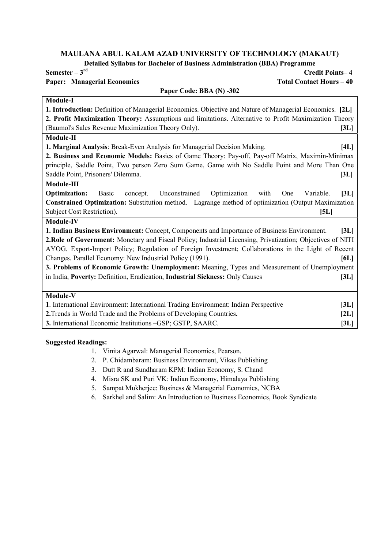Detailed Syllabus for Bachelor of Business Administration (BBA) Programme

Paper Code: BRA (N) -302

# Paper: Managerial Economics Total Contact Hours – 40

Semester – 3rd Credit Points– 4

| <b>Module-I</b>                                                                                                |
|----------------------------------------------------------------------------------------------------------------|
| 1. Introduction: Definition of Managerial Economics. Objective and Nature of Managerial Economics. [2L]        |
| 2. Profit Maximization Theory: Assumptions and limitations. Alternative to Profit Maximization Theory          |
| (Baumol's Sales Revenue Maximization Theory Only).<br>[3L]                                                     |
| Module-II                                                                                                      |
| 1. Marginal Analysis: Break-Even Analysis for Managerial Decision Making.<br>[4L]                              |
| 2. Business and Economic Models: Basics of Game Theory: Pay-off, Pay-off Matrix, Maximin-Minimax               |
| principle, Saddle Point, Two person Zero Sum Game, Game with No Saddle Point and More Than One                 |
| Saddle Point, Prisoners' Dilemma.<br>[3L]                                                                      |
| Module-III                                                                                                     |
| <b>Optimization:</b><br>Unconstrained<br>Optimization<br>[3L]<br>Basic<br>concept.<br>with<br>One<br>Variable. |
| <b>Constrained Optimization:</b> Substitution method. Lagrange method of optimization (Output Maximization     |
| Subject Cost Restriction).<br>[5L]                                                                             |
| <b>Module-IV</b>                                                                                               |
| [3L]<br>1. Indian Business Environment: Concept, Components and Importance of Business Environment.            |
| 2. Role of Government: Monetary and Fiscal Policy; Industrial Licensing, Privatization; Objectives of NITI     |
| AYOG. Export-Import Policy; Regulation of Foreign Investment; Collaborations in the Light of Recent            |
| Changes. Parallel Economy: New Industrial Policy (1991).<br>[6L]                                               |
| 3. Problems of Economic Growth: Unemployment: Meaning, Types and Measurement of Unemployment                   |
| in India, Poverty: Definition, Eradication, Industrial Sickness: Only Causes<br>[3L]                           |
|                                                                                                                |
| Module-V                                                                                                       |
| 1. International Environment: International Trading Environment: Indian Perspective<br>[3L]                    |
| 2. Trends in World Trade and the Problems of Developing Countries.<br>[2L]                                     |
| 3. International Economic Institutions -GSP; GSTP, SAARC.<br>[3L]                                              |
|                                                                                                                |

- 1. Vinita Agarwal: Managerial Economics, Pearson.
- 2. P. Chidambaram: Business Environment, Vikas Publishing
- 3. Dutt R and Sundharam KPM: Indian Economy, S. Chand
- 4. Misra SK and Puri VK: Indian Economy, Himalaya Publishing
- 5. Sampat Mukherjee: Business & Managerial Economics, NCBA
- 6. Sarkhel and Salim: An Introduction to Business Economics, Book Syndicate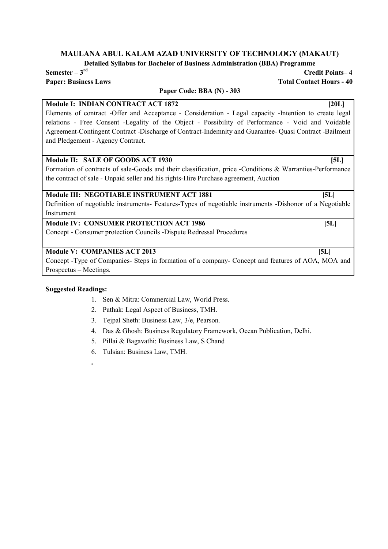Detailed Syllabus for Bachelor of Business Administration (BBA) Programme

Semester – 3rd Credit Points– 4

# Paper: Business Laws Total Contact Hours - 40 Paper Code: BBA (N) - 303

# Module I: INDIAN CONTRACT ACT 1872 [20L]

Elements of contract -Offer and Acceptance - Consideration - Legal capacity -Intention to create legal relations - Free Consent -Legality of the Object - Possibility of Performance - Void and Voidable Agreement-Contingent Contract -Discharge of Contract-Indemnity and Guarantee- Quasi Contract -Bailment and Pledgement - Agency Contract.

# Module II: SALE OF GOODS ACT 1930 [5L]

Formation of contracts of sale-Goods and their classification, price -Conditions & Warranties-Performance the contract of sale - Unpaid seller and his rights-Hire Purchase agreement, Auction

# Module III: NEGOTIABLE INSTRUMENT ACT 1881 [5L]

Definition of negotiable instruments- Features-Types of negotiable instruments -Dishonor of a Negotiable Instrument

# Module IV: CONSUMER PROTECTION ACT 1986 [5L]

Concept - Consumer protection Councils -Dispute Redressal Procedures

# Module V: COMPANIES ACT 2013 [5L]

.

Concept -Type of Companies- Steps in formation of a company- Concept and features of AOA, MOA and Prospectus – Meetings.

- 1. Sen & Mitra: Commercial Law, World Press.
- 2. Pathak: Legal Aspect of Business, TMH.
- 3. Tejpal Sheth: Business Law, 3/e, Pearson.
- 4. Das & Ghosh: Business Regulatory Framework, Ocean Publication, Delhi.
- 5. Pillai & Bagavathi: Business Law, S Chand
- 6. Tulsian: Business Law, TMH.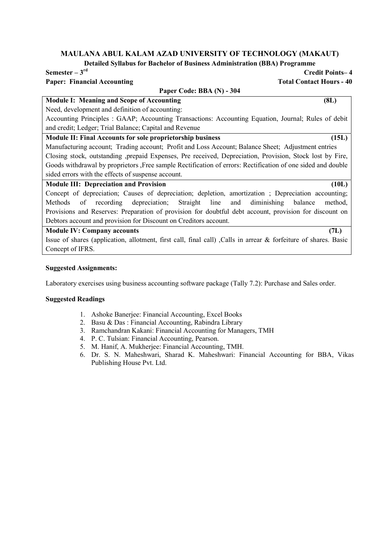Detailed Syllabus for Bachelor of Business Administration (BBA) Programme

# Paper: Financial Accounting Total Contact Hours - 40

# Semester – 3rd Credit Points– 4

| Paper Code: BBA (N) - 304                                                                                       |         |
|-----------------------------------------------------------------------------------------------------------------|---------|
| <b>Module I: Meaning and Scope of Accounting</b>                                                                | (8L)    |
| Need, development and definition of accounting:                                                                 |         |
| Accounting Principles : GAAP; Accounting Transactions: Accounting Equation, Journal; Rules of debit             |         |
| and credit; Ledger; Trial Balance; Capital and Revenue                                                          |         |
| Module II: Final Accounts for sole proprietorship business                                                      | (15L)   |
| Manufacturing account; Trading account; Profit and Loss Account; Balance Sheet; Adjustment entries              |         |
| Closing stock, outstanding , prepaid Expenses, Pre received, Depreciation, Provision, Stock lost by Fire,       |         |
| Goods withdrawal by proprietors , Free sample Rectification of errors: Rectification of one sided and double    |         |
| sided errors with the effects of suspense account.                                                              |         |
| <b>Module III: Depreciation and Provision</b>                                                                   | (10L)   |
| Concept of depreciation; Causes of depreciation; depletion, amortization; Depreciation accounting;              |         |
| recording depreciation; Straight line<br>diminishing<br>and<br>Methods<br>balance<br>of                         | method, |
| Provisions and Reserves: Preparation of provision for doubtful debt account, provision for discount on          |         |
| Debtors account and provision for Discount on Creditors account.                                                |         |
| <b>Module IV: Company accounts</b>                                                                              | (7L)    |
| Issue of shares (application, allotment, first call, final call), Calls in arrear & forfeiture of shares. Basic |         |
| Concept of IFRS.                                                                                                |         |

# Suggested Assignments:

Laboratory exercises using business accounting software package (Tally 7.2): Purchase and Sales order.

- 1. Ashoke Banerjee: Financial Accounting, Excel Books
- 2. Basu & Das : Financial Accounting, Rabindra Library
- 3. Ramchandran Kakani: Financial Accounting for Managers, TMH
- 4. P. C. Tulsian: Financial Accounting, Pearson.
- 5. M. Hanif, A. Mukherjee: Financial Accounting, TMH.
- 6. Dr. S. N. Maheshwari, Sharad K. Maheshwari: Financial Accounting for BBA, Vikas Publishing House Pvt. Ltd.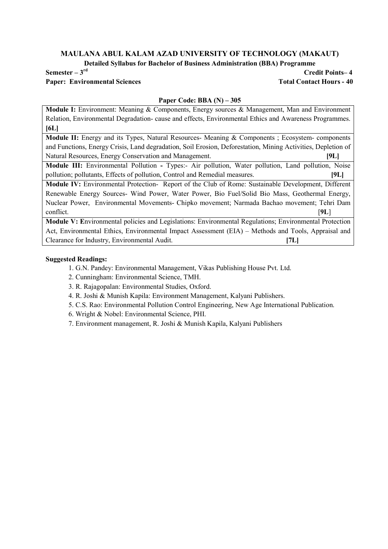Detailed Syllabus for Bachelor of Business Administration (BBA) Programme

# Paper: Environmental Sciences Total Contact Hours - 40

Semester – 3rd Credit Points– 4

#### Paper Code: BBA (N) – 305

Module I: Environment: Meaning & Components, Energy sources & Management, Man and Environment Relation, Environmental Degradation- cause and effects, Environmental Ethics and Awareness Programmes.  $[6L]$ 

Module II: Energy and its Types, Natural Resources- Meaning & Components ; Ecosystem- components and Functions, Energy Crisis, Land degradation, Soil Erosion, Deforestation, Mining Activities, Depletion of Natural Resources, Energy Conservation and Management. [9L]

Module III: Environmental Pollution - Types:- Air pollution, Water pollution, Land pollution, Noise pollution; pollutants, Effects of pollution, Control and Remedial measures. [9L]

Module IV: Environmental Protection- Report of the Club of Rome: Sustainable Development, Different Renewable Energy Sources- Wind Power, Water Power, Bio Fuel/Solid Bio Mass, Geothermal Energy, Nuclear Power, Environmental Movements- Chipko movement; Narmada Bachao movement; Tehri Dam conflict. [9L]

Module V: Environmental policies and Legislations: Environmental Regulations; Environmental Protection Act, Environmental Ethics, Environmental Impact Assessment (EIA) – Methods and Tools, Appraisal and Clearance for Industry, Environmental Audit. [7L]

# Suggested Readings:

- 1. G.N. Pandey: Environmental Management, Vikas Publishing House Pvt. Ltd.
- 2. Cunningham: Environmental Science, TMH.
- 3. R. Rajagopalan: Environmental Studies, Oxford.
- 4. R. Joshi & Munish Kapila: Environment Management, Kalyani Publishers.
- 5. C.S. Rao: Environmental Pollution Control Engineering, New Age International Publication.
- 6. Wright & Nobel: Environmental Science, PHI.

7. Environment management, R. Joshi & Munish Kapila, Kalyani Publishers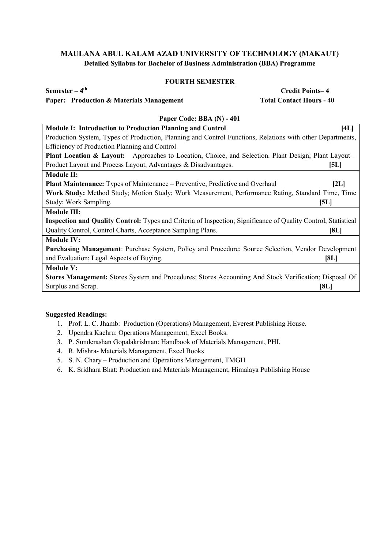# FOURTH SEMESTER

# Paper: Production & Materials Management Total Contact Hours - 40

 $Semester - 4<sup>th</sup>$  Credit Points– 4

| Paper Code: BBA (N) - 401                                                                                             |  |
|-----------------------------------------------------------------------------------------------------------------------|--|
| <b>Module I: Introduction to Production Planning and Control</b><br>[4L]                                              |  |
| Production System, Types of Production, Planning and Control Functions, Relations with other Departments,             |  |
| Efficiency of Production Planning and Control                                                                         |  |
| <b>Plant Location &amp; Layout:</b> Approaches to Location, Choice, and Selection. Plant Design; Plant Layout –       |  |
| Product Layout and Process Layout, Advantages & Disadvantages.<br>[5L]                                                |  |
| <b>Module II:</b>                                                                                                     |  |
| <b>Plant Maintenance:</b> Types of Maintenance – Preventive, Predictive and Overhaul<br>[2L]                          |  |
| Work Study: Method Study; Motion Study; Work Measurement, Performance Rating, Standard Time, Time                     |  |
| Study; Work Sampling.<br>[5L]                                                                                         |  |
| <b>Module III:</b>                                                                                                    |  |
| <b>Inspection and Quality Control:</b> Types and Criteria of Inspection; Significance of Quality Control, Statistical |  |
| Quality Control, Control Charts, Acceptance Sampling Plans.<br>[8L]                                                   |  |
| <b>Module IV:</b>                                                                                                     |  |
| <b>Purchasing Management:</b> Purchase System, Policy and Procedure; Source Selection, Vendor Development             |  |
| and Evaluation; Legal Aspects of Buying.<br>[8L]                                                                      |  |
| <b>Module V:</b>                                                                                                      |  |
| <b>Stores Management:</b> Stores System and Procedures; Stores Accounting And Stock Verification; Disposal Of         |  |
| Surplus and Scrap.<br>[8L]                                                                                            |  |
|                                                                                                                       |  |

- 1. Prof. L. C. Jhamb: Production (Operations) Management, Everest Publishing House.
- 2. Upendra Kachru: Operations Management, Excel Books.
- 3. P. Sunderashan Gopalakrishnan: Handbook of Materials Management, PHI.
- 4. R. Mishra- Materials Management, Excel Books
- 5. S. N. Chary Production and Operations Management, TMGH
- 6. K. Sridhara Bhat: Production and Materials Management, Himalaya Publishing House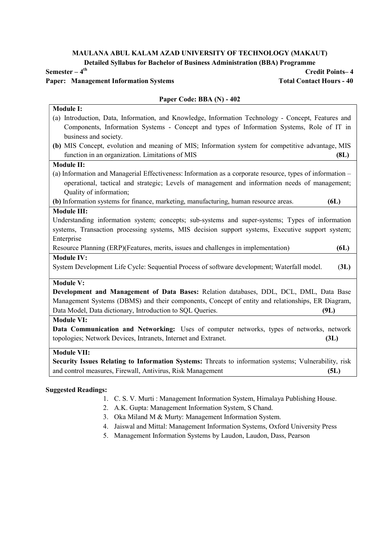Detailed Syllabus for Bachelor of Business Administration (BBA) Programme

# Paper: Management Information Systems Total Contact Hours - 40

 $Semester - 4<sup>th</sup>$  Credit Points– 4

#### Paper Code: BBA (N) - 402

# Module I: (a) Introduction, Data, Information, and Knowledge, Information Technology - Concept, Features and Components, Information Systems - Concept and types of Information Systems, Role of IT in business and society. (b) MIS Concept, evolution and meaning of MIS; Information system for competitive advantage, MIS function in an organization. Limitations of MIS (8L) (8L) Module II: (a) Information and Managerial Effectiveness: Information as a corporate resource, types of information – operational, tactical and strategic; Levels of management and information needs of management; Quality of information; (b) Information systems for finance, marketing, manufacturing, human resource areas. (6L) Module III: Understanding information system; concepts; sub-systems and super-systems; Types of information systems, Transaction processing systems, MIS decision support systems, Executive support system; Enterprise Resource Planning (ERP)(Features, merits, issues and challenges in implementation) (6L) Module IV: System Development Life Cycle: Sequential Process of software development; Waterfall model. (3L) Module V: Development and Management of Data Bases: Relation databases, DDL, DCL, DML, Data Base Management Systems (DBMS) and their components, Concept of entity and relationships, ER Diagram, Data Model, Data dictionary, Introduction to SQL Queries. (9L) Module VI: Data Communication and Networking: Uses of computer networks, types of networks, network topologies; Network Devices, Intranets, Internet and Extranet. (3L) Module VII: Security Issues Relating to Information Systems: Threats to information systems; Vulnerability, risk and control measures, Firewall, Antivirus, Risk Management (5L)

- 1. C. S. V. Murti : Management Information System, Himalaya Publishing House.
- 2. A.K. Gupta: Management Information System, S Chand.
- 3. Oka Miland M & Murty: Management Information System.
- 4. Jaiswal and Mittal: Management Information Systems, Oxford University Press
- 5. Management Information Systems by Laudon, Laudon, Dass, Pearson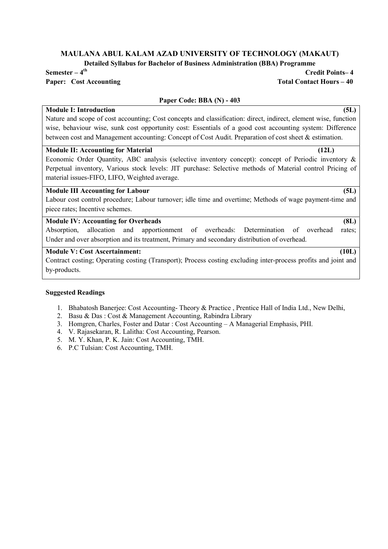Detailed Syllabus for Bachelor of Business Administration (BBA) Programme

# $Semester - 4<sup>th</sup>$  Credit Points– 4

# Paper: Cost Accounting Total Contact Hours – 40

# Paper Code: BBA (N) - 403

# Module I: Introduction (5L)

Nature and scope of cost accounting; Cost concepts and classification: direct, indirect, element wise, function wise, behaviour wise, sunk cost opportunity cost: Essentials of a good cost accounting system: Difference between cost and Management accounting: Concept of Cost Audit. Preparation of cost sheet & estimation.

#### Module II: Accounting for Material (12L)

Economic Order Quantity, ABC analysis (selective inventory concept): concept of Periodic inventory & Perpetual inventory, Various stock levels: JIT purchase: Selective methods of Material control Pricing of material issues-FIFO, LIFO, Weighted average.

# Module III Accounting for Labour (5L)

Labour cost control procedure; Labour turnover; idle time and overtime; Methods of wage payment-time and piece rates; Incentive schemes.

#### Module IV: Accounting for Overheads (8L)

Absorption, allocation and apportionment of overheads: Determination of overhead rates; Under and over absorption and its treatment, Primary and secondary distribution of overhead.

# Module V: Cost Ascertainment: (10L)

Contract costing; Operating costing (Transport); Process costing excluding inter-process profits and joint and by-products.

- 1. Bhabatosh Banerjee: Cost Accounting- Theory & Practice , Prentice Hall of India Ltd., New Delhi,
- 2. Basu & Das : Cost & Management Accounting, Rabindra Library
- 3. Homgren, Charles, Foster and Datar : Cost Accounting A Managerial Emphasis, PHI.
- 4. V. Rajasekaran, R. Lalitha: Cost Accounting, Pearson.
- 5. M. Y. Khan, P. K. Jain: Cost Accounting, TMH.
- 6. P.C Tulsian: Cost Accounting, TMH.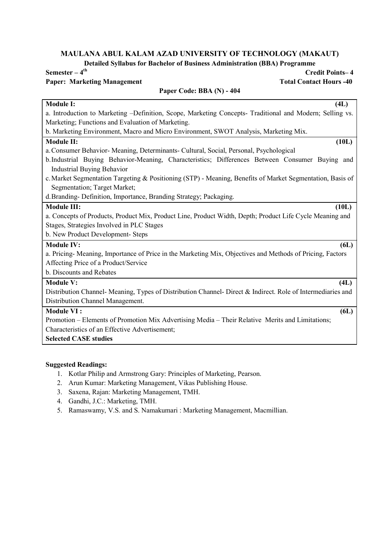Detailed Syllabus for Bachelor of Business Administration (BBA) Programme<br>Cree

Paper Code: BBA (N) - 404

# Paper: Marketing Management Total Contact Hours -40

# Credit Points– 4

| <b>Module I:</b><br>(4L)                                                                                    |
|-------------------------------------------------------------------------------------------------------------|
| a. Introduction to Marketing -Definition, Scope, Marketing Concepts- Traditional and Modern; Selling vs.    |
| Marketing; Functions and Evaluation of Marketing.                                                           |
| b. Marketing Environment, Macro and Micro Environment, SWOT Analysis, Marketing Mix.                        |
| (10L)<br><b>Module II:</b>                                                                                  |
| a. Consumer Behavior-Meaning, Determinants- Cultural, Social, Personal, Psychological                       |
| b. Industrial Buying Behavior-Meaning, Characteristics; Differences Between Consumer Buying and             |
| <b>Industrial Buying Behavior</b>                                                                           |
| c. Market Segmentation Targeting & Positioning (STP) - Meaning, Benefits of Market Segmentation, Basis of   |
| Segmentation; Target Market;                                                                                |
| d. Branding-Definition, Importance, Branding Strategy; Packaging.                                           |
| <b>Module III:</b><br>(10L)                                                                                 |
| a. Concepts of Products, Product Mix, Product Line, Product Width, Depth; Product Life Cycle Meaning and    |
| Stages, Strategies Involved in PLC Stages                                                                   |
| b. New Product Development- Steps                                                                           |
| <b>Module IV:</b><br>6L)                                                                                    |
| a. Pricing-Meaning, Importance of Price in the Marketing Mix, Objectives and Methods of Pricing, Factors    |
| Affecting Price of a Product/Service                                                                        |
| b. Discounts and Rebates                                                                                    |
| <b>Module V:</b><br>(4L)                                                                                    |
| Distribution Channel- Meaning, Types of Distribution Channel- Direct & Indirect. Role of Intermediaries and |
| Distribution Channel Management.                                                                            |
| <b>Module VI:</b><br>6L)                                                                                    |
| Promotion – Elements of Promotion Mix Advertising Media – Their Relative Merits and Limitations;            |
| Characteristics of an Effective Advertisement;                                                              |
| <b>Selected CASE studies</b>                                                                                |
|                                                                                                             |

- 1. Kotlar Philip and Armstrong Gary: Principles of Marketing, Pearson.
- 2. Arun Kumar: Marketing Management, Vikas Publishing House.
- 3. Saxena, Rajan: Marketing Management, TMH.
- 4. Gandhi, J.C.: Marketing, TMH.
- 5. Ramaswamy, V.S. and S. Namakumari : Marketing Management, Macmillian.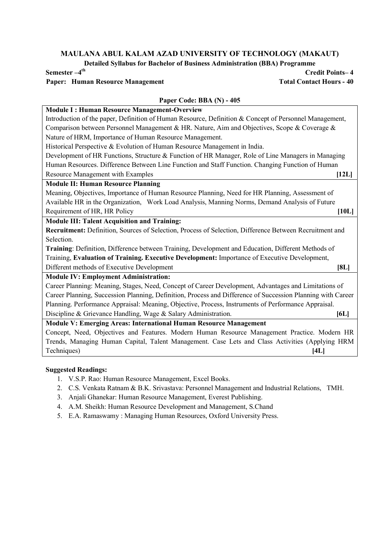Detailed Syllabus for Bachelor of Business Administration (BBA) Programme

# Paper: Human Resource Management Total Contact Hours - 40

Credit Points– 4

# Paper Code: BBA (N) - 405

| <b>Module I: Human Resource Management-Overview</b>                                                         |
|-------------------------------------------------------------------------------------------------------------|
| Introduction of the paper, Definition of Human Resource, Definition & Concept of Personnel Management,      |
| Comparison between Personnel Management & HR. Nature, Aim and Objectives, Scope & Coverage &                |
| Nature of HRM, Importance of Human Resource Management.                                                     |
| Historical Perspective & Evolution of Human Resource Management in India.                                   |
| Development of HR Functions, Structure & Function of HR Manager, Role of Line Managers in Managing          |
| Human Resources. Difference Between Line Function and Staff Function. Changing Function of Human            |
| <b>Resource Management with Examples</b><br>[12L]                                                           |
| <b>Module II: Human Resource Planning</b>                                                                   |
| Meaning, Objectives, Importance of Human Resource Planning, Need for HR Planning, Assessment of             |
| Available HR in the Organization, Work Load Analysis, Manning Norms, Demand Analysis of Future              |
| Requirement of HR, HR Policy<br>[10L]                                                                       |
| <b>Module III: Talent Acquisition and Training:</b>                                                         |
| Recruitment: Definition, Sources of Selection, Process of Selection, Difference Between Recruitment and     |
| Selection.                                                                                                  |
| Training: Definition, Difference between Training, Development and Education, Different Methods of          |
| Training, Evaluation of Training. Executive Development: Importance of Executive Development,               |
| Different methods of Executive Development<br>[8L]                                                          |
| <b>Module IV: Employment Administration:</b>                                                                |
| Career Planning: Meaning, Stages, Need, Concept of Career Development, Advantages and Limitations of        |
| Career Planning, Succession Planning, Definition, Process and Difference of Succession Planning with Career |
| Planning. Performance Appraisal: Meaning, Objective, Process, Instruments of Performance Appraisal.         |
| Discipline & Grievance Handling, Wage & Salary Administration.<br>[6L]                                      |
| Module V: Emerging Areas: International Human Resource Management                                           |
| Concept, Need, Objectives and Features. Modern Human Resource Management Practice. Modern HR                |
| Trends, Managing Human Capital, Talent Management. Case Lets and Class Activities (Applying HRM             |
| Techniques)<br>[4L]                                                                                         |
|                                                                                                             |

- 1. V.S.P. Rao: Human Resource Management, Excel Books.
- 2. C.S. Venkata Ratnam & B.K. Srivastava: Personnel Management and Industrial Relations, TMH.
- 3. Anjali Ghanekar: Human Resource Management, Everest Publishing.
- 4. A.M. Sheikh: Human Resource Development and Management, S.Chand
- 5. E.A. Ramaswamy : Managing Human Resources, Oxford University Press.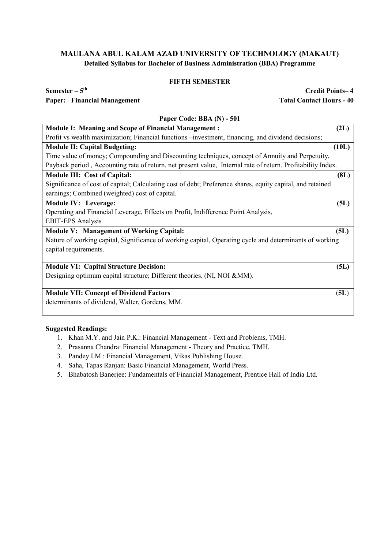# FIFTH SEMESTER

### Paper: Financial Management Total Contact Hours - 40

 $Semester - 5<sup>th</sup>$  Credit Points– 4

| Paper Code: BBA (N) - 501                                                                                   |       |  |
|-------------------------------------------------------------------------------------------------------------|-------|--|
| <b>Module I: Meaning and Scope of Financial Management:</b>                                                 | (2L)  |  |
| Profit vs wealth maximization; Financial functions – investment, financing, and dividend decisions;         |       |  |
| <b>Module II: Capital Budgeting:</b>                                                                        | (10L) |  |
| Time value of money; Compounding and Discounting techniques, concept of Annuity and Perpetuity,             |       |  |
| Payback period, Accounting rate of return, net present value, Internal rate of return. Profitability Index. |       |  |
| Module III: Cost of Capital:                                                                                | (8L)  |  |
| Significance of cost of capital; Calculating cost of debt; Preference shares, equity capital, and retained  |       |  |
| earnings; Combined (weighted) cost of capital.                                                              |       |  |
| <b>Module IV: Leverage:</b>                                                                                 | (5L)  |  |
| Operating and Financial Leverage, Effects on Profit, Indifference Point Analysis,                           |       |  |
| <b>EBIT-EPS</b> Analysis                                                                                    |       |  |
| <b>Module V: Management of Working Capital:</b>                                                             | (5L)  |  |
| Nature of working capital, Significance of working capital, Operating cycle and determinants of working     |       |  |
| capital requirements.                                                                                       |       |  |
|                                                                                                             |       |  |
| <b>Module VI: Capital Structure Decision:</b>                                                               | (5L)  |  |
| Designing optimum capital structure; Different theories. (NI, NOI & MM).                                    |       |  |
|                                                                                                             |       |  |
| <b>Module VII: Concept of Dividend Factors</b>                                                              | (5L)  |  |
| determinants of dividend, Walter, Gordens, MM.                                                              |       |  |

- 1. Khan M.Y. and Jain P.K.: Financial Management Text and Problems, TMH.
- 2. Prasanna Chandra: Financial Management Theory and Practice, TMH.
- 3. Pandey I.M.: Financial Management, Vikas Publishing House.
- 4. Saha, Tapas Ranjan: Basic Financial Management, World Press.
- 5. Bhabatosh Banerjee: Fundamentals of Financial Management, Prentice Hall of India Ltd.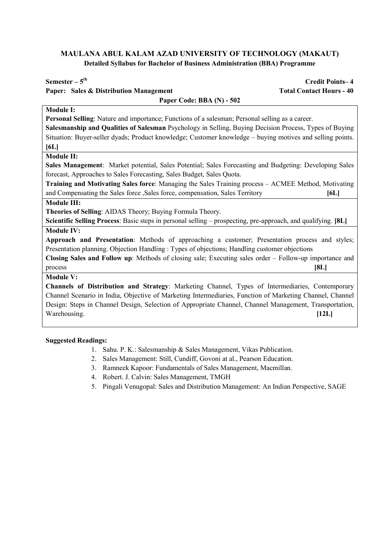| Semester $-5$ <sup>th</sup>                                                                                   | <b>Credit Points-4</b>          |  |
|---------------------------------------------------------------------------------------------------------------|---------------------------------|--|
| <b>Paper: Sales &amp; Distribution Management</b>                                                             | <b>Total Contact Hours - 40</b> |  |
| Paper Code: BBA (N) - 502                                                                                     |                                 |  |
| <b>Module I:</b>                                                                                              |                                 |  |
| Personal Selling: Nature and importance; Functions of a salesman; Personal selling as a career.               |                                 |  |
| Salesmanship and Qualities of Salesman Psychology in Selling, Buying Decision Process, Types of Buying        |                                 |  |
| Situation: Buyer-seller dyads; Product knowledge; Customer knowledge – buying motives and selling points.     |                                 |  |
| [6L]                                                                                                          |                                 |  |
| <b>Module II:</b>                                                                                             |                                 |  |
| Sales Management: Market potential, Sales Potential; Sales Forecasting and Budgeting: Developing Sales        |                                 |  |
| forecast, Approaches to Sales Forecasting, Sales Budget, Sales Quota.                                         |                                 |  |
| Training and Motivating Sales force: Managing the Sales Training process - ACMEE Method, Motivating           |                                 |  |
| and Compensating the Sales force , Sales force, compensation, Sales Territory                                 | [6L]                            |  |
| <b>Module III:</b>                                                                                            |                                 |  |
| Theories of Selling: AIDAS Theory; Buying Formula Theory.                                                     |                                 |  |
| Scientific Selling Process: Basic steps in personal selling – prospecting, pre-approach, and qualifying. [8L] |                                 |  |
| <b>Module IV:</b>                                                                                             |                                 |  |
| Approach and Presentation: Methods of approaching a customer; Presentation process and styles;                |                                 |  |
| Presentation planning. Objection Handling : Types of objections; Handling customer objections                 |                                 |  |
| Closing Sales and Follow up: Methods of closing sale; Executing sales order - Follow-up importance and        |                                 |  |
| process                                                                                                       | [8L]                            |  |
| <b>Module V:</b>                                                                                              |                                 |  |
| Channels of Distribution and Strategy: Marketing Channel, Types of Intermediaries, Contemporary               |                                 |  |
| Channel Scenario in India, Objective of Marketing Intermediaries, Function of Marketing Channel, Channel      |                                 |  |
| Design: Steps in Channel Design, Selection of Appropriate Channel, Channel Management, Transportation,        |                                 |  |
| Warehousing.                                                                                                  | [12L]                           |  |
|                                                                                                               |                                 |  |

- 1. Sahu. P. K.: Salesmanship & Sales Management, Vikas Publication.
- 2. Sales Management: Still, Cundiff, Govoni at al., Pearson Education.
- 3. Ramneek Kapoor: Fundamentals of Sales Management, Macmillan.
- 4. Robert. J. Calvin: Sales Management, TMGH
- 5. Pingali Venugopal: Sales and Distribution Management: An Indian Perspective, SAGE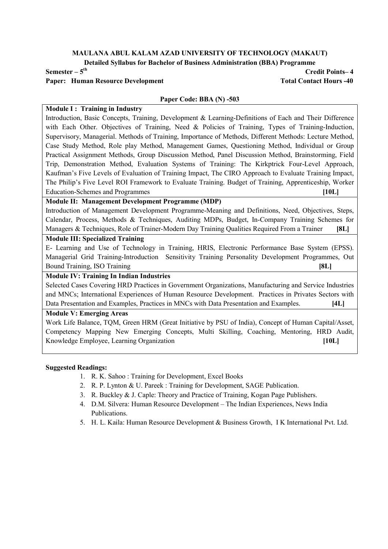Detailed Syllabus for Bachelor of Business Administration (BBA) Programme

### Paper: Human Resource Development Total Contact Hours -40

 $Semester - 5<sup>th</sup>$  Credit Points– 4

#### Paper Code: BBA (N) -503

### Module I: Training in Industry

Introduction, Basic Concepts, Training, Development & Learning-Definitions of Each and Their Difference with Each Other. Objectives of Training, Need & Policies of Training, Types of Training-Induction, Supervisory, Managerial. Methods of Training, Importance of Methods, Different Methods: Lecture Method, Case Study Method, Role play Method, Management Games, Questioning Method, Individual or Group Practical Assignment Methods, Group Discussion Method, Panel Discussion Method, Brainstorming, Field Trip, Demonstration Method, Evaluation Systems of Training: The Kirkptrick Four-Level Approach, Kaufman's Five Levels of Evaluation of Training Impact, The CIRO Approach to Evaluate Training Impact, The Philip's Five Level ROI Framework to Evaluate Training. Budget of Training, Apprenticeship, Worker Education-Schemes and Programmes [10L]

#### Module II: Management Development Programme (MDP)

Introduction of Management Development Programme-Meaning and Definitions, Need, Objectives, Steps, Calendar, Process, Methods & Techniques, Auditing MDPs, Budget, In-Company Training Schemes for Managers & Techniques, Role of Trainer-Modern Day Training Qualities Required From a Trainer [8L]

# Module III: Specialized Training

E- Learning and Use of Technology in Training, HRIS, Electronic Performance Base System (EPSS). Managerial Grid Training-Introduction Sensitivity Training Personality Development Programmes, Out Bound Training, ISO Training [8L]

# Module IV: Training In Indian Industries

Selected Cases Covering HRD Practices in Government Organizations, Manufacturing and Service Industries and MNCs; International Experiences of Human Resource Development. Practices in Privates Sectors with Data Presentation and Examples, Practices in MNCs with Data Presentation and Examples. [4L]

### Module V: Emerging Areas

Work Life Balance, TQM, Green HRM (Great Initiative by PSU of India), Concept of Human Capital/Asset, Competency Mapping New Emerging Concepts, Multi Skilling, Coaching, Mentoring, HRD Audit, Knowledge Employee, Learning Organization [10L]

- 1. R. K. Sahoo : Training for Development, Excel Books
- 2. R. P. Lynton & U. Pareek : Training for Development, SAGE Publication.
- 3. R. Buckley & J. Caple: Theory and Practice of Training, Kogan Page Publishers.
- 4. D.M. Silvera: Human Resource Development The Indian Experiences, News India Publications.
- 5. H. L. Kaila: Human Resource Development & Business Growth, I K International Pvt. Ltd.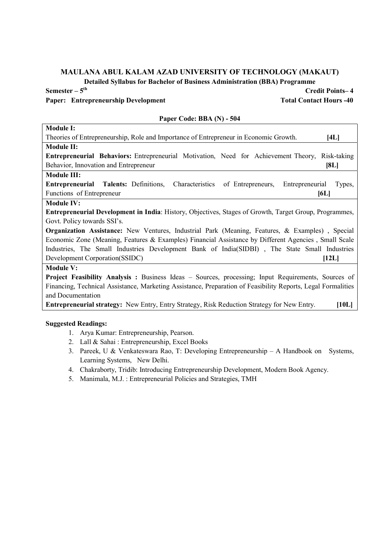Detailed Syllabus for Bachelor of Business Administration (BBA) Programme

# Paper: Entrepreneurship Development Total Contact Hours -40

| Paper Code: BBA (N) - 504                                                                                      |
|----------------------------------------------------------------------------------------------------------------|
| <b>Module I:</b>                                                                                               |
| Theories of Entrepreneurship, Role and Importance of Entrepreneur in Economic Growth.<br>[4L]                  |
| <b>Module II:</b>                                                                                              |
| <b>Entrepreneurial Behaviors:</b> Entrepreneurial Motivation, Need for Achievement Theory, Risk-taking         |
| Behavior, Innovation and Entrepreneur<br>[8L]                                                                  |
| <b>Module III:</b>                                                                                             |
| <b>Entrepreneurial Talents: Definitions, Characteristics</b><br>of Entrepreneurs,<br>Entrepreneurial<br>Types, |
| Functions of Entrepreneur<br>[6L]                                                                              |
| <b>Module IV:</b>                                                                                              |
| <b>Entrepreneurial Development in India:</b> History, Objectives, Stages of Growth, Target Group, Programmes,  |
| Govt. Policy towards SSI's.                                                                                    |
| <b>Organization Assistance:</b> New Ventures, Industrial Park (Meaning, Features, & Examples), Special         |
| Economic Zone (Meaning, Features & Examples) Financial Assistance by Different Agencies, Small Scale           |
| Industries, The Small Industries Development Bank of India(SIDBI), The State Small Industries                  |
| Development Corporation(SSIDC)<br>[12L]                                                                        |
| <b>Module V:</b>                                                                                               |
| Project Feasibility Analysis: Business Ideas - Sources, processing; Input Requirements, Sources of             |
| Financing, Technical Assistance, Marketing Assistance, Preparation of Feasibility Reports, Legal Formalities   |
| and Documentation                                                                                              |
| <b>Entrepreneurial strategy:</b> New Entry, Entry Strategy, Risk Reduction Strategy for New Entry.<br>[10L]    |
|                                                                                                                |

# Suggested Readings:

- 1. Arya Kumar: Entrepreneurship, Pearson.
- 2. Lall & Sahai : Entrepreneurship, Excel Books
- 3. Pareek, U & Venkateswara Rao, T: Developing Entrepreneurship A Handbook on Systems, Learning Systems, New Delhi.
- 4. Chakraborty, Tridib: Introducing Entrepreneurship Development, Modern Book Agency.
- 5. Manimala, M.J. : Entrepreneurial Policies and Strategies, TMH

#### Paper Code: BBA (N) - 504

 $Semester - 5<sup>th</sup>$  Credit Points– 4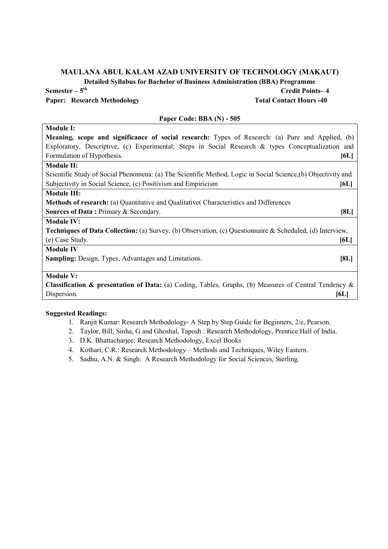Detailed Syllabus for Bachelor of Business Administration (BBA) Programme

Paper: Research Methodology Total Contact Hours -40

 $Semester - 5<sup>th</sup>$  Credit Points–4

# Paper Code: BBA (N) - 505

Module I: Meaning, scope and significance of social research: Types of Research: (a) Pure and Applied, (b) Exploratory, Descriptive, (c) Experimental; Steps in Social Research & types Conceptualization and Formulation of Hypothesis. [6L]

# Module II:

Scientific Study of Social Phenomena: (a) The Scientific Method, Logic in Social Science,(b) Objectivity and Subjectivity in Social Science, (c) Positivism and Empiricism [6L]

# Module III:

Methods of research: (a) Quantitative and Qualitative( Characteristics and Differences

Sources of Data : Primary & Secondary. [8L]

#### Module IV:

Techniques of Data Collection: (a) Survey, (b) Observation, (c) Questionnaire & Scheduled, (d) Interview, (e) Case Study. [6L]

#### Module IV

Sampling: Design, Types, Advantages and Limitations. [8L]

# Module V:

Classification & presentation of Data: (a) Coding, Tables, Graphs, (b) Measures of Central Tendency & Dispersion. [6L]

- 1. Ranjit Kumar: Research Methodology- A Step by Step Guide for Beginners, 2/e, Pearson.
- 2. Taylor, Bill, Sinha, G and Ghoshal, Taposh : Research Methodology, Prentice Hall of India.
- 3. D.K. Bhattacharjee: Research Methodology, Excel Books
- 4. Kothari, C.R.: Research Methodology Methods and Techniques, Wiley Eastern.
- 5. Sadhu, A.N. & Singh: A Research Methodology for Social Sciences, Sterling.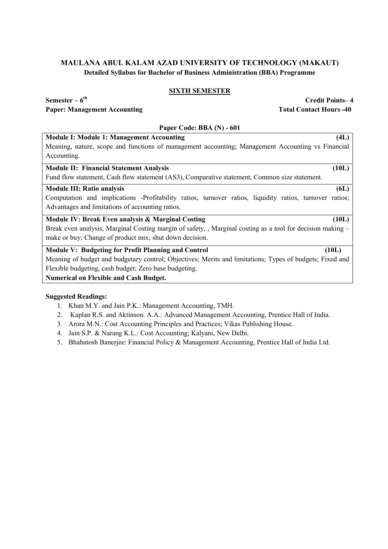# SIXTH SEMESTER

Paper: Management Accounting Total Contact Hours -40

Semester – 6<sup>th</sup> Credit Points– 4

### Paper Code: BBA (N) - 601

Module I: Module 1: Management Accounting (4L)

Meaning, nature, scope and functions of management accounting; Management Accounting vs Financial Accounting.

# Module II: Financial Statement Analysis (10L)

Fund flow statement, Cash flow statement (AS3), Comparative statement, Common size statement.

#### Module III: Ratio analysis (6L)

Computation and implications -Profitability ratios, turnover ratios, liquidity ratios, turnover ratios; Advantages and limitations of accounting ratios.

### Module IV: Break Even analysis & Marginal Costing (10L)

Break even analysis, Marginal Costing margin of safety, , Marginal costing as a tool for decision making – make or buy; Change of product mix; shut down decision.

# Module V: Budgeting for Profit Planning and Control (10L)

Meaning of budget and budgetary control; Objectives; Merits and limitations; Types of budgets; Fixed and Flexible budgeting, cash budget; Zero base budgeting.

Numerical on Flexible and Cash Budget.

- 1. Khan M.Y. and Jain P.K.: Management Accounting, TMH.
- 2. Kaplan R.S. and Aktinson. A.A.: Advanced Management Accounting, Prentice Hall of India.
- 3. Arora M.N.: Cost Accounting Principles and Practices; Vikas Publishing House.
- 4. Jain S.P. & Narang K.L.: Cost Accounting; Kalyani, New Delhi.
- 5. Bhabatosh Banerjee: Financial Policy & Management Accounting, Prentice Hall of India Ltd.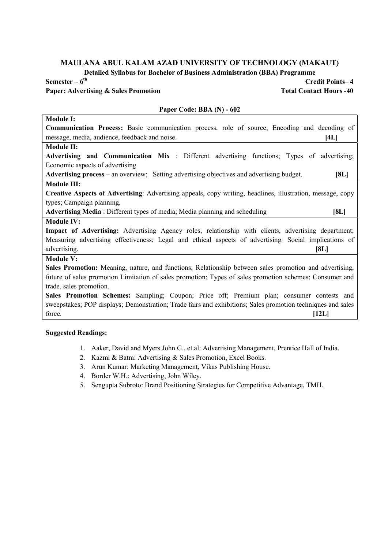Detailed Syllabus for Bachelor of Business Administration (BBA) Programme

Paper: Advertising & Sales Promotion Total Contact Hours -40

 $Semester - 6<sup>th</sup>$  Credit Points– 4

# Module I: Communication Process: Basic communication process, role of source; Encoding and decoding of message, media, audience, feedback and noise. [4L] Module II: Advertising and Communication Mix : Different advertising functions; Types of advertising; Economic aspects of advertising Advertising process – an overview; Setting advertising objectives and advertising budget. [8L] Module III: Creative Aspects of Advertising: Advertising appeals, copy writing, headlines, illustration, message, copy types; Campaign planning. Advertising Media : Different types of media; Media planning and scheduling [8L] Module IV: Impact of Advertising: Advertising Agency roles, relationship with clients, advertising department; Measuring advertising effectiveness; Legal and ethical aspects of advertising. Social implications of advertising. [8L] Module V: Sales Promotion: Meaning, nature, and functions; Relationship between sales promotion and advertising, future of sales promotion Limitation of sales promotion; Types of sales promotion schemes; Consumer and trade, sales promotion. Sales Promotion Schemes: Sampling; Coupon; Price off; Premium plan; consumer contests and sweepstakes; POP displays; Demonstration; Trade fairs and exhibitions; Sales promotion techniques and sales  $\lbrack$  force.  $\lbrack$  [12L]

# Suggested Readings:

- 1. Aaker, David and Myers John G., et.al: Advertising Management, Prentice Hall of India.
- 2. Kazmi & Batra: Advertising & Sales Promotion, Excel Books.
- 3. Arun Kumar: Marketing Management, Vikas Publishing House.
- 4. Border W.H.: Advertising, John Wiley.
- 5. Sengupta Subroto: Brand Positioning Strategies for Competitive Advantage, TMH.

# Paper Code: BBA (N) - 602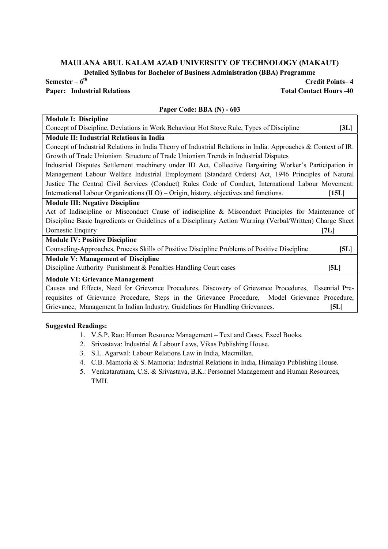Detailed Syllabus for Bachelor of Business Administration (BBA) Programme

Paper Code: BBA (N) - 603

# Paper: Industrial Relations Total Contact Hours -40

# $Semester - 6<sup>th</sup>$  Credit Points– 4

# Module I: Discipline Concept of Discipline, Deviations in Work Behaviour Hot Stove Rule, Types of Discipline [3L] Module II: Industrial Relations in India Concept of Industrial Relations in India Theory of Industrial Relations in India. Approaches & Context of IR. Growth of Trade Unionism Structure of Trade Unionism Trends in Industrial Disputes Industrial Disputes Settlement machinery under ID Act, Collective Bargaining Worker's Participation in Management Labour Welfare Industrial Employment (Standard Orders) Act, 1946 Principles of Natural Justice The Central Civil Services (Conduct) Rules Code of Conduct, International Labour Movement: International Labour Organizations (ILO) – Origin, history, objectives and functions. [15L]

#### Module III: Negative Discipline

Act of Indiscipline or Misconduct Cause of indiscipline & Misconduct Principles for Maintenance of Discipline Basic Ingredients or Guidelines of a Disciplinary Action Warning (Verbal/Written) Charge Sheet Domestic Enquiry [7L]

| <b>Module IV: Positive Discipline</b>                                                        |      |
|----------------------------------------------------------------------------------------------|------|
| Counseling-Approaches, Process Skills of Positive Discipline Problems of Positive Discipline | [5L] |
| <b>Module V: Management of Discipline</b>                                                    |      |
| Discipline Authority Punishment & Penalties Handling Court cases                             | [5L] |
| <b>Module VI: Grievance Management</b>                                                       |      |

Causes and Effects, Need for Grievance Procedures, Discovery of Grievance Procedures, Essential Prerequisites of Grievance Procedure, Steps in the Grievance Procedure, Model Grievance Procedure, Grievance, Management In Indian Industry, Guidelines for Handling Grievances. [51]

- 1. V.S.P. Rao: Human Resource Management Text and Cases, Excel Books.
- 2. Srivastava: Industrial & Labour Laws, Vikas Publishing House.
- 3. S.L. Agarwal: Labour Relations Law in India, Macmillan.
- 4. C.B. Mamoria & S. Mamoria: Industrial Relations in India, Himalaya Publishing House.
- 5. Venkataratnam, C.S. & Srivastava, B.K.: Personnel Management and Human Resources, TMH.